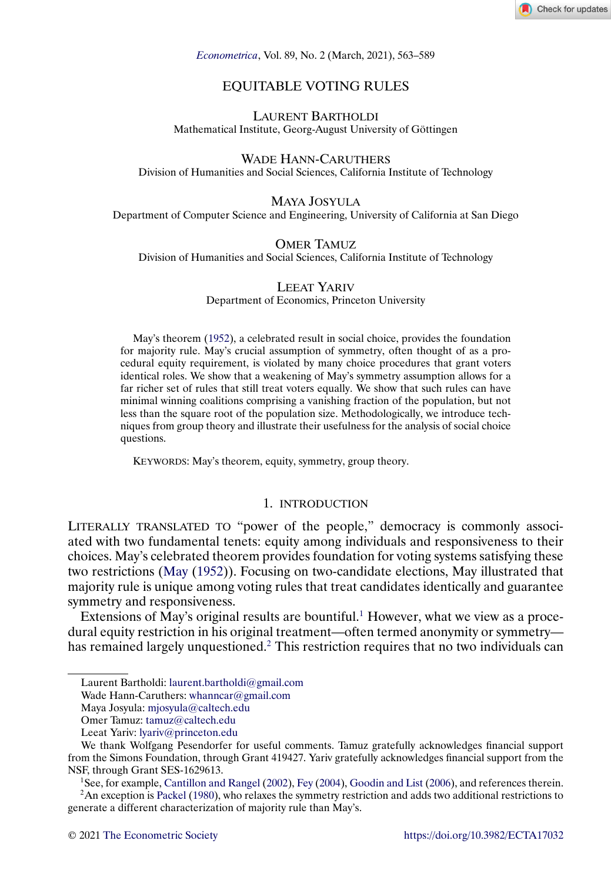

<span id="page-0-0"></span>*[Econometrica](https://www.econometricsociety.org/)*, Vol. 89, No. 2 (March, 2021), 563–589

# EQUITABLE VOTING RULES

LAURENT BARTHOLDI Mathematical Institute, Georg-August University of Göttingen

WADE HANN-CARUTHERS Division of Humanities and Social Sciences, California Institute of Technology

# MAYA JOSYULA

Department of Computer Science and Engineering, University of California at San Diego

#### OMER TAMUZ Division of Humanities and Social Sciences, California Institute of Technology

LEEAT YARIV Department of Economics, Princeton University

May's theorem [\(1952\)](#page-25-0), a celebrated result in social choice, provides the foundation for majority rule. May's crucial assumption of symmetry, often thought of as a procedural equity requirement, is violated by many choice procedures that grant voters identical roles. We show that a weakening of May's symmetry assumption allows for a far richer set of rules that still treat voters equally. We show that such rules can have minimal winning coalitions comprising a vanishing fraction of the population, but not less than the square root of the population size. Methodologically, we introduce techniques from group theory and illustrate their usefulness for the analysis of social choice questions.

KEYWORDS: May's theorem, equity, symmetry, group theory.

#### 1. INTRODUCTION

LITERALLY TRANSLATED TO "power of the people," democracy is commonly associated with two fundamental tenets: equity among individuals and responsiveness to their choices. May's celebrated theorem provides foundation for voting systems satisfying these two restrictions [\(May](#page-25-0) [\(1952\)](#page-25-0)). Focusing on two-candidate elections, May illustrated that majority rule is unique among voting rules that treat candidates identically and guarantee symmetry and responsiveness.

Extensions of May's original results are bountiful.<sup>1</sup> However, what we view as a procedural equity restriction in his original treatment—often termed anonymity or symmetry has remained largely unquestioned.<sup>2</sup> This restriction requires that no two individuals can

1See, for example, [Cantillon and Rangel](#page-25-0) [\(2002\)](#page-25-0), [Fey](#page-25-0) [\(2004\)](#page-25-0), [Goodin and List](#page-25-0) [\(2006\)](#page-25-0), and references therein.

2An exception is [Packel](#page-25-0) [\(1980\)](#page-25-0), who relaxes the symmetry restriction and adds two additional restrictions to generate a different characterization of majority rule than May's.

Laurent Bartholdi: [laurent.bartholdi@gmail.com](mailto:laurent.bartholdi@gmail.com)

Wade Hann-Caruthers: [whanncar@gmail.com](mailto:whanncar@gmail.com)

Maya Josyula: [mjosyula@caltech.edu](mailto:mjosyula@caltech.edu)

Omer Tamuz: [tamuz@caltech.edu](mailto:tamuz@caltech.edu)

Leeat Yariv: [lyariv@princeton.edu](mailto:lyariv@princeton.edu)

We thank Wolfgang Pesendorfer for useful comments. Tamuz gratefully acknowledges financial support from the Simons Foundation, through Grant 419427. Yariv gratefully acknowledges financial support from the NSF, through Grant SES-1629613.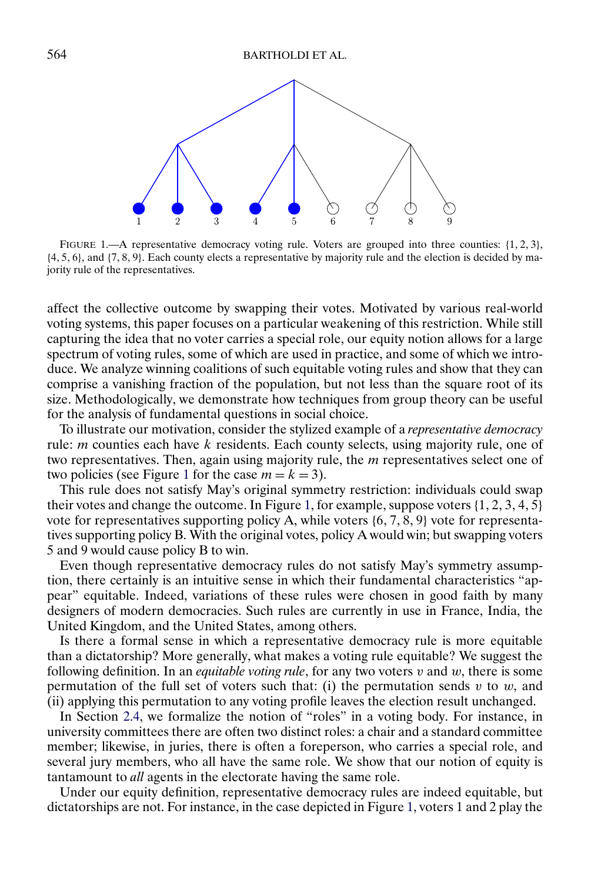<span id="page-1-0"></span>

FIGURE 1.—A representative democracy voting rule. Voters are grouped into three counties: {1, 2, 3}, {4- 5- 6}, and {7- 8- 9}. Each county elects a representative by majority rule and the election is decided by majority rule of the representatives.

affect the collective outcome by swapping their votes. Motivated by various real-world voting systems, this paper focuses on a particular weakening of this restriction. While still capturing the idea that no voter carries a special role, our equity notion allows for a large spectrum of voting rules, some of which are used in practice, and some of which we introduce. We analyze winning coalitions of such equitable voting rules and show that they can comprise a vanishing fraction of the population, but not less than the square root of its size. Methodologically, we demonstrate how techniques from group theory can be useful for the analysis of fundamental questions in social choice.

To illustrate our motivation, consider the stylized example of a *representative democracy* rule:  $m$  counties each have  $k$  residents. Each county selects, using majority rule, one of two representatives. Then, again using majority rule, the *m* representatives select one of two policies (see Figure 1 for the case  $m = k = 3$ ).

This rule does not satisfy May's original symmetry restriction: individuals could swap their votes and change the outcome. In Figure 1, for example, suppose voters  $\{1, 2, 3, 4, 5\}$ vote for representatives supporting policy A, while voters  $\{6, 7, 8, 9\}$  vote for representatives supporting policy B. With the original votes, policy A would win; but swapping voters 5 and 9 would cause policy B to win.

Even though representative democracy rules do not satisfy May's symmetry assumption, there certainly is an intuitive sense in which their fundamental characteristics "appear" equitable. Indeed, variations of these rules were chosen in good faith by many designers of modern democracies. Such rules are currently in use in France, India, the United Kingdom, and the United States, among others.

Is there a formal sense in which a representative democracy rule is more equitable than a dictatorship? More generally, what makes a voting rule equitable? We suggest the following definition. In an *equitable voting rule*, for any two voters v and w, there is some permutation of the full set of voters such that: (i) the permutation sends  $v$  to  $w$ , and (ii) applying this permutation to any voting profile leaves the election result unchanged.

In Section [2.4,](#page-6-0) we formalize the notion of "roles" in a voting body. For instance, in university committees there are often two distinct roles: a chair and a standard committee member; likewise, in juries, there is often a foreperson, who carries a special role, and several jury members, who all have the same role. We show that our notion of equity is tantamount to *all* agents in the electorate having the same role.

Under our equity definition, representative democracy rules are indeed equitable, but dictatorships are not. For instance, in the case depicted in Figure 1, voters 1 and 2 play the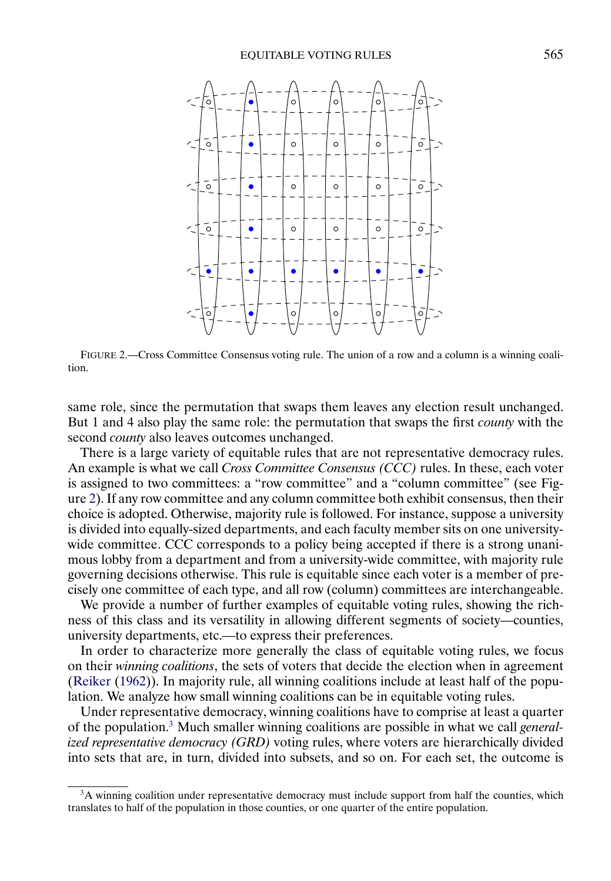<span id="page-2-0"></span>

FIGURE 2.—Cross Committee Consensus voting rule. The union of a row and a column is a winning coalition.

same role, since the permutation that swaps them leaves any election result unchanged. But 1 and 4 also play the same role: the permutation that swaps the first *county* with the second *county* also leaves outcomes unchanged.

There is a large variety of equitable rules that are not representative democracy rules. An example is what we call *Cross Committee Consensus (CCC)* rules. In these, each voter is assigned to two committees: a "row committee" and a "column committee" (see Figure 2). If any row committee and any column committee both exhibit consensus, then their choice is adopted. Otherwise, majority rule is followed. For instance, suppose a university is divided into equally-sized departments, and each faculty member sits on one universitywide committee. CCC corresponds to a policy being accepted if there is a strong unanimous lobby from a department and from a university-wide committee, with majority rule governing decisions otherwise. This rule is equitable since each voter is a member of precisely one committee of each type, and all row (column) committees are interchangeable.

We provide a number of further examples of equitable voting rules, showing the richness of this class and its versatility in allowing different segments of society—counties, university departments, etc.—to express their preferences.

In order to characterize more generally the class of equitable voting rules, we focus on their *winning coalitions*, the sets of voters that decide the election when in agreement [\(Reiker](#page-26-0) [\(1962\)](#page-26-0)). In majority rule, all winning coalitions include at least half of the population. We analyze how small winning coalitions can be in equitable voting rules.

Under representative democracy, winning coalitions have to comprise at least a quarter of the population.3 Much smaller winning coalitions are possible in what we call *generalized representative democracy (GRD)* voting rules, where voters are hierarchically divided into sets that are, in turn, divided into subsets, and so on. For each set, the outcome is

<sup>&</sup>lt;sup>3</sup>A winning coalition under representative democracy must include support from half the counties, which translates to half of the population in those counties, or one quarter of the entire population.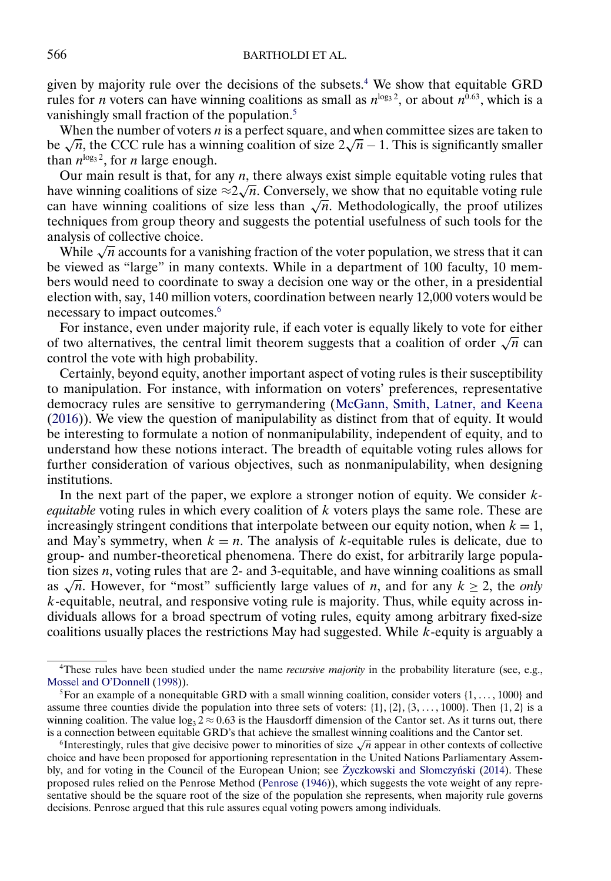<span id="page-3-0"></span>given by majority rule over the decisions of the subsets.<sup>4</sup> We show that equitable GRD rules for *n* voters can have winning coalitions as small as  $n^{\log_3 2}$ , or about  $n^{\hat{0.63}}$ , which is a vanishingly small fraction of the population.<sup>5</sup>

When the number of voters  $n$  is a perfect square, and when committee sizes are taken to be  $\sqrt{n}$ , the CCC rule has a winning coalition of size  $2\sqrt{n} - 1$ . This is significantly smaller than  $n^{\log_3 2}$ , for *n* large enough.

Our main result is that, for any  $n$ , there always exist simple equitable voting rules that Our main result is that, for any *n*, there always exist simple equitable voting rules that have winning coalitions of size  $\approx 2\sqrt{n}$ . Conversely, we show that no equitable voting rule can have winning coalitions of size less than  $\sqrt{n}$ . Methodologically, the proof utilizes techniques from group theory and suggests the potential usefulness of such tools for the analysis of collective choice.

While  $\sqrt{n}$  accounts for a vanishing fraction of the voter population, we stress that it can be viewed as "large" in many contexts. While in a department of 100 faculty, 10 members would need to coordinate to sway a decision one way or the other, in a presidential election with, say, 140 million voters, coordination between nearly 12,000 voters would be necessary to impact outcomes.<sup>6</sup>

For instance, even under majority rule, if each voter is equally likely to vote for either of two alternatives, the central limit theorem suggests that a coalition of order  $\sqrt{n}$  can control the vote with high probability.

Certainly, beyond equity, another important aspect of voting rules is their susceptibility to manipulation. For instance, with information on voters' preferences, representative democracy rules are sensitive to gerrymandering [\(McGann, Smith, Latner, and Keena](#page-25-0) [\(2016\)](#page-25-0)). We view the question of manipulability as distinct from that of equity. It would be interesting to formulate a notion of nonmanipulability, independent of equity, and to understand how these notions interact. The breadth of equitable voting rules allows for further consideration of various objectives, such as nonmanipulability, when designing institutions.

In the next part of the paper, we explore a stronger notion of equity. We consider k*equitable* voting rules in which every coalition of k voters plays the same role. These are increasingly stringent conditions that interpolate between our equity notion, when  $k = 1$ , and May's symmetry, when  $k = n$ . The analysis of k-equitable rules is delicate, due to group- and number-theoretical phenomena. There do exist, for arbitrarily large population sizes  $n$ , voting rules that are 2- and 3-equitable, and have winning coalitions as small as  $\sqrt{n}$ . However, for "most" sufficiently large values of *n*, and for any  $k \ge 2$ , the *only*  $k$ -equitable, neutral, and responsive voting rule is majority. Thus, while equity across individuals allows for a broad spectrum of voting rules, equity among arbitrary fixed-size coalitions usually places the restrictions May had suggested. While k-equity is arguably a

<sup>4</sup>These rules have been studied under the name *recursive majority* in the probability literature (see, e.g., [Mossel and O'Donnell](#page-25-0) [\(1998\)](#page-25-0)).

<sup>&</sup>lt;sup>5</sup> For an example of a nonequitable GRD with a small winning coalition, consider voters  $\{1, \ldots, 1000\}$  and assume three counties divide the population into three sets of voters:  $\{1\}$ ,  $\{2\}$ ,  $\{3, \ldots, 1000\}$ . Then  $\{1, 2\}$  is a winning coalition. The value  $\log_3 2 \approx 0.63$  is the Hausdorff dimension of the Cantor set. As it turns out, there is a connection between equitable GRD's that achieve the smallest winning coalitions and the Cantor set.

<sup>&</sup>lt;sup>6</sup>Interestingly, rules that give decisive power to minorities of size  $\sqrt{n}$  appear in other contexts of collective choice and have been proposed for apportioning representation in the United Nations Parliamentary Assem-bly, and for voting in the Council of the European Union; see Życzkowski and Słomczyński [\(2014\)](#page-26-0). These proposed rules relied on the Penrose Method [\(Penrose](#page-26-0) [\(1946\)](#page-26-0)), which suggests the vote weight of any representative should be the square root of the size of the population she represents, when majority rule governs decisions. Penrose argued that this rule assures equal voting powers among individuals.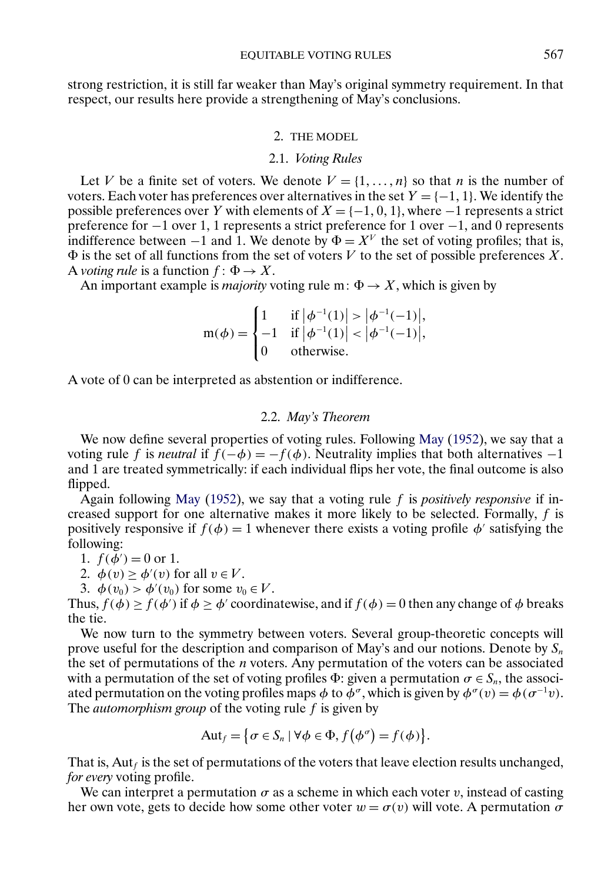<span id="page-4-0"></span>strong restriction, it is still far weaker than May's original symmetry requirement. In that respect, our results here provide a strengthening of May's conclusions.

# 2. THE MODEL

#### 2.1. *Voting Rules*

Let V be a finite set of voters. We denote  $V = \{1, ..., n\}$  so that n is the number of voters. Each voter has preferences over alternatives in the set  $Y = \{-1, 1\}$ . We identify the possible preferences over Y with elements of  $X = \{-1, 0, 1\}$ , where  $-1$  represents a strict preference for −1 over 1, 1 represents a strict preference for 1 over −1, and 0 represents indifference between −1 and 1. We denote by  $\Phi = X^V$  the set of voting profiles; that is,  $\Phi$  is the set of all functions from the set of voters V to the set of possible preferences X. A *voting rule* is a function  $f: \Phi \to X$ .

An important example is *majority* voting rule m:  $\Phi \to X$ , which is given by

$$
m(\phi) = \begin{cases} 1 & \text{if } |\phi^{-1}(1)| > |\phi^{-1}(-1)|, \\ -1 & \text{if } |\phi^{-1}(1)| < |\phi^{-1}(-1)|, \\ 0 & \text{otherwise.} \end{cases}
$$

A vote of 0 can be interpreted as abstention or indifference.

#### 2.2. *May's Theorem*

We now define several properties of voting rules. Following [May](#page-25-0) [\(1952\)](#page-25-0), we say that a voting rule f is *neutral* if  $f(-\phi) = -f(\phi)$ . Neutrality implies that both alternatives -1 and 1 are treated symmetrically: if each individual flips her vote, the final outcome is also flipped.

Again following [May](#page-25-0) [\(1952\)](#page-25-0), we say that a voting rule f is *positively responsive* if increased support for one alternative makes it more likely to be selected. Formally,  $f$  is positively responsive if  $f(\phi) = 1$  whenever there exists a voting profile  $\phi'$  satisfying the following:

1.  $f(\phi') = 0$  or 1.

2. 
$$
\phi(v) \ge \phi'(v)
$$
 for all  $v \in V$ .

3.  $\phi(v_0) > \phi'(v_0)$  for some  $v_0 \in V$ .

Thus,  $f(\phi) \ge f(\phi')$  if  $\phi \ge \phi'$  coordinatewise, and if  $f(\phi) = 0$  then any change of  $\phi$  breaks the tie.

We now turn to the symmetry between voters. Several group-theoretic concepts will prove useful for the description and comparison of May's and our notions. Denote by  $S_n$ the set of permutations of the  $n$  voters. Any permutation of the voters can be associated with a permutation of the set of voting profiles  $\Phi$ : given a permutation  $\sigma \in S_n$ , the associated permutation on the voting profiles maps  $\phi$  to  $\bar{\phi}^{\sigma}$ , which is given by  $\phi^{\sigma}(v) = \phi(\sigma^{-1}v)$ . The *automorphism group* of the voting rule f is given by

$$
Aut_f = \{ \sigma \in S_n \mid \forall \phi \in \Phi, f(\phi^{\sigma}) = f(\phi) \}.
$$

That is, Aut $_f$  is the set of permutations of the voters that leave election results unchanged, *for every* voting profile.

We can interpret a permutation  $\sigma$  as a scheme in which each voter v, instead of casting her own vote, gets to decide how some other voter  $w = \sigma(v)$  will vote. A permutation  $\sigma$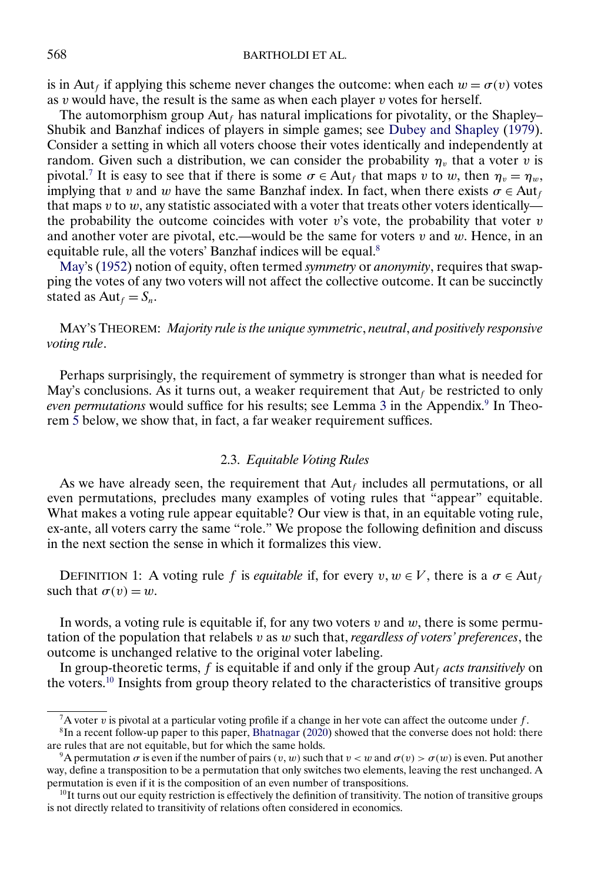<span id="page-5-0"></span>is in Aut<sub>f</sub> if applying this scheme never changes the outcome: when each  $w = \sigma(v)$  votes as  $v$  would have, the result is the same as when each player  $v$  votes for herself.

The automorphism group  $\text{Aut}_f$  has natural implications for pivotality, or the Shapley– Shubik and Banzhaf indices of players in simple games; see [Dubey and Shapley](#page-25-0) [\(1979\)](#page-25-0). Consider a setting in which all voters choose their votes identically and independently at random. Given such a distribution, we can consider the probability  $\eta_v$  that a voter v is pivotal.<sup>7</sup> It is easy to see that if there is some  $\sigma \in$  Aut<sub>f</sub> that maps v to w, then  $\eta_v = \eta_w$ , implying that v and w have the same Banzhaf index. In fact, when there exists  $\sigma \in \text{Aut}_f$ that maps v to w, any statistic associated with a voter that treats other voters identically the probability the outcome coincides with voter  $v$ 's vote, the probability that voter  $v$ and another voter are pivotal, etc.—would be the same for voters  $v$  and  $w$ . Hence, in an equitable rule, all the voters' Banzhaf indices will be equal.<sup>8</sup>

May's [\(1952\)](#page-25-0) notion of equity, often termed *symmetry* or *anonymity*, requires that swapping the votes of any two voters will not affect the collective outcome. It can be succinctly stated as  $\text{Aut}_f = S_n$ .

MAY'S THEOREM: *Majority rule is the unique symmetric*, *neutral*, *and positively responsive voting rule*.

Perhaps surprisingly, the requirement of symmetry is stronger than what is needed for May's conclusions. As it turns out, a weaker requirement that  $Aut_f$  be restricted to only *even permutations* would suffice for his results; see Lemma [3](#page-19-0) in the Appendix.<sup>9</sup> In Theorem [5](#page-12-0) below, we show that, in fact, a far weaker requirement suffices.

### 2.3. *Equitable Voting Rules*

As we have already seen, the requirement that  $Aut<sub>f</sub>$  includes all permutations, or all even permutations, precludes many examples of voting rules that "appear" equitable. What makes a voting rule appear equitable? Our view is that, in an equitable voting rule, ex-ante, all voters carry the same "role." We propose the following definition and discuss in the next section the sense in which it formalizes this view.

DEFINITION 1: A voting rule f is *equitable* if, for every  $v, w \in V$ , there is a  $\sigma \in Aut_f$ such that  $\sigma(v) = w$ .

In words, a voting rule is equitable if, for any two voters  $v$  and  $w$ , there is some permutation of the population that relabels v as w such that, *regardless of voters' preferences*, the outcome is unchanged relative to the original voter labeling.

In group-theoretic terms,  $f$  is equitable if and only if the group  $\text{Aut}_f$  *acts transitively* on the voters.<sup>10</sup> Insights from group theory related to the characteristics of transitive groups

<sup>&</sup>lt;sup>7</sup>A voter v is pivotal at a particular voting profile if a change in her vote can affect the outcome under  $f$ .

 ${}^{8}$ In a recent follow-up paper to this paper, [Bhatnagar](#page-25-0) [\(2020\)](#page-25-0) showed that the converse does not hold: there are rules that are not equitable, but for which the same holds.

<sup>&</sup>lt;sup>9</sup>A permutation  $\sigma$  is even if the number of pairs  $(v, w)$  such that  $v < w$  and  $\sigma(v) > \sigma(w)$  is even. Put another way, define a transposition to be a permutation that only switches two elements, leaving the rest unchanged. A permutation is even if it is the composition of an even number of transpositions.

 $10$ It turns out our equity restriction is effectively the definition of transitivity. The notion of transitive groups is not directly related to transitivity of relations often considered in economics.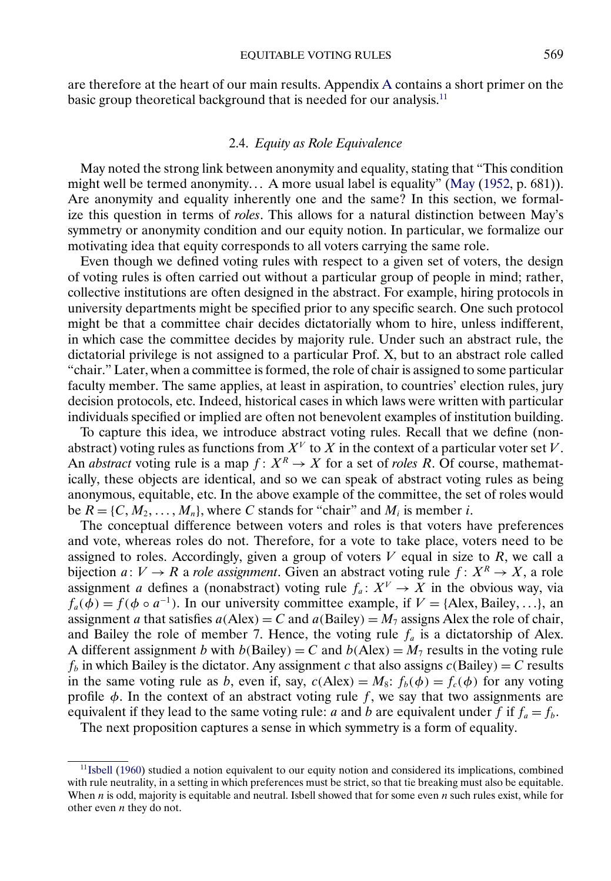<span id="page-6-0"></span>are therefore at the heart of our main results. Appendix [A](#page-14-0) contains a short primer on the basic group theoretical background that is needed for our analysis.<sup>11</sup>

### 2.4. *Equity as Role Equivalence*

May noted the strong link between anonymity and equality, stating that "This condition might well be termed anonymity... A more usual label is equality" [\(May](#page-25-0) [\(1952,](#page-25-0) p. 681)). Are anonymity and equality inherently one and the same? In this section, we formalize this question in terms of *roles*. This allows for a natural distinction between May's symmetry or anonymity condition and our equity notion. In particular, we formalize our motivating idea that equity corresponds to all voters carrying the same role.

Even though we defined voting rules with respect to a given set of voters, the design of voting rules is often carried out without a particular group of people in mind; rather, collective institutions are often designed in the abstract. For example, hiring protocols in university departments might be specified prior to any specific search. One such protocol might be that a committee chair decides dictatorially whom to hire, unless indifferent, in which case the committee decides by majority rule. Under such an abstract rule, the dictatorial privilege is not assigned to a particular Prof. X, but to an abstract role called "chair." Later, when a committee is formed, the role of chair is assigned to some particular faculty member. The same applies, at least in aspiration, to countries' election rules, jury decision protocols, etc. Indeed, historical cases in which laws were written with particular individuals specified or implied are often not benevolent examples of institution building.

To capture this idea, we introduce abstract voting rules. Recall that we define (nonabstract) voting rules as functions from  $X^V$  to X in the context of a particular voter set V. An *abstract* voting rule is a map  $f: X^R \to X$  for a set of *roles R*. Of course, mathematically, these objects are identical, and so we can speak of abstract voting rules as being anonymous, equitable, etc. In the above example of the committee, the set of roles would be  $R = \{C, M_2, \dots, M_n\}$ , where C stands for "chair" and  $M_i$  is member i.

The conceptual difference between voters and roles is that voters have preferences and vote, whereas roles do not. Therefore, for a vote to take place, voters need to be assigned to roles. Accordingly, given a group of voters  $V$  equal in size to  $R$ , we call a bijection  $a: V \to R$  a *role assignment*. Given an abstract voting rule  $f: X^R \to X$ , a role assignment a defines a (nonabstract) voting rule  $f_a: X^V \to X$  in the obvious way, via  $f_a(\phi) = f(\phi \circ a^{-1})$ . In our university committee example, if  $V = \{$ Alex, Bailey, ...}, an assignment a that satisfies  $a(Alex) = C$  and  $a(Bailey) = M_7$  assigns Alex the role of chair, and Bailey the role of member 7. Hence, the voting rule  $f_a$  is a dictatorship of Alex. A different assignment b with  $b(Bailey) = C$  and  $b(Alex) = M_7$  results in the voting rule  $f_b$  in which Bailey is the dictator. Any assignment c that also assigns  $c(Bailey) = C$  results in the same voting rule as b, even if, say,  $c(Alex) = M_8$ :  $f_b(\phi) = f_c(\phi)$  for any voting profile  $\phi$ . In the context of an abstract voting rule f, we say that two assignments are equivalent if they lead to the same voting rule: a and b are equivalent under f if  $f_a = f_b$ .

The next proposition captures a sense in which symmetry is a form of equality.

<sup>1</sup>[1Isbell](#page-25-0) [\(1960\)](#page-25-0) studied a notion equivalent to our equity notion and considered its implications, combined with rule neutrality, in a setting in which preferences must be strict, so that tie breaking must also be equitable. When *n* is odd, majority is equitable and neutral. Isbell showed that for some even *n* such rules exist, while for other even  $n$  they do not.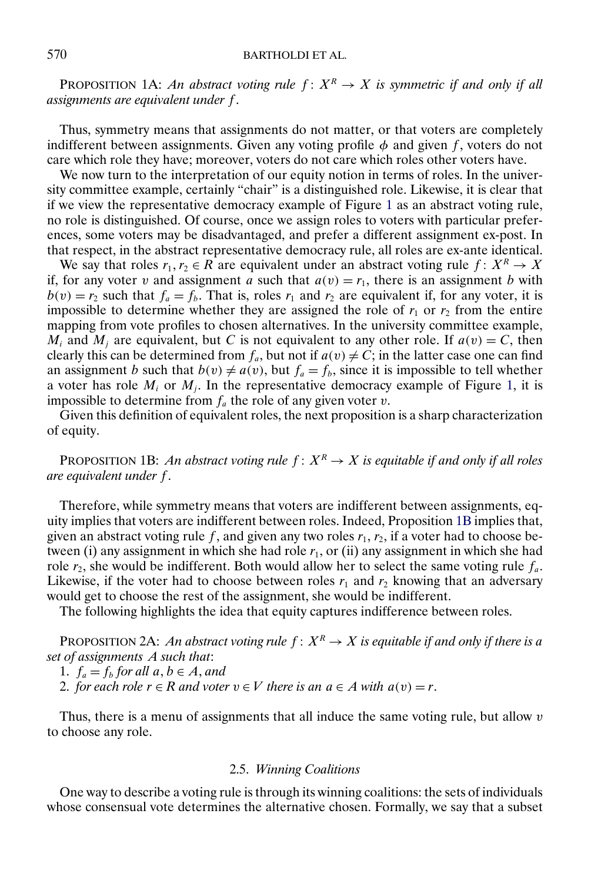# <span id="page-7-0"></span>570 BARTHOLDI ET AL.

PROPOSITION 1A: *An abstract voting rule*  $f: X^R \to X$  *is symmetric if and only if all assignments are equivalent under* f .

Thus, symmetry means that assignments do not matter, or that voters are completely indifferent between assignments. Given any voting profile  $\phi$  and given f, voters do not care which role they have; moreover, voters do not care which roles other voters have.

We now turn to the interpretation of our equity notion in terms of roles. In the university committee example, certainly "chair" is a distinguished role. Likewise, it is clear that if we view the representative democracy example of Figure [1](#page-1-0) as an abstract voting rule, no role is distinguished. Of course, once we assign roles to voters with particular preferences, some voters may be disadvantaged, and prefer a different assignment ex-post. In that respect, in the abstract representative democracy rule, all roles are ex-ante identical.

We say that roles  $r_1, r_2 \in R$  are equivalent under an abstract voting rule  $f: X^R \to X$ if, for any voter v and assignment a such that  $a(v) = r_1$ , there is an assignment b with  $b(v) = r_2$  such that  $f_a = f_b$ . That is, roles  $r_1$  and  $r_2$  are equivalent if, for any voter, it is impossible to determine whether they are assigned the role of  $r_1$  or  $r_2$  from the entire mapping from vote profiles to chosen alternatives. In the university committee example,  $M_i$  and  $M_j$  are equivalent, but C is not equivalent to any other role. If  $a(v) = C$ , then clearly this can be determined from  $f_a$ , but not if  $a(v) \neq C$ ; in the latter case one can find an assignment *b* such that  $b(v) \neq a(v)$ , but  $f_a = f_b$ , since it is impossible to tell whether a voter has role  $M_i$  or  $M_i$ . In the representative democracy example of Figure [1,](#page-1-0) it is impossible to determine from  $f_a$  the role of any given voter v.

Given this definition of equivalent roles, the next proposition is a sharp characterization of equity.

PROPOSITION 1B: *An abstract voting rule*  $f: X^R \to X$  *is equitable if and only if all roles are equivalent under* f .

Therefore, while symmetry means that voters are indifferent between assignments, equity implies that voters are indifferent between roles. Indeed, Proposition 1B implies that, given an abstract voting rule f, and given any two roles  $r_1$ ,  $r_2$ , if a voter had to choose between (i) any assignment in which she had role  $r_1$ , or (ii) any assignment in which she had role  $r_2$ , she would be indifferent. Both would allow her to select the same voting rule  $f_a$ . Likewise, if the voter had to choose between roles  $r_1$  and  $r_2$  knowing that an adversary would get to choose the rest of the assignment, she would be indifferent.

The following highlights the idea that equity captures indifference between roles.

PROPOSITION 2A: *An abstract voting rule*  $f: X^R \to X$  *is equitable if and only if there is a set of assignments* A *such that*:

1.  $f_a = f_b$  for all  $a, b \in A$ , and

2. *for each role*  $r \in R$  *and voter*  $v \in V$  *there is an*  $a \in A$  *with*  $a(v) = r$ .

Thus, there is a menu of assignments that all induce the same voting rule, but allow  $v$ to choose any role.

# 2.5. *Winning Coalitions*

One way to describe a voting rule is through its winning coalitions: the sets of individuals whose consensual vote determines the alternative chosen. Formally, we say that a subset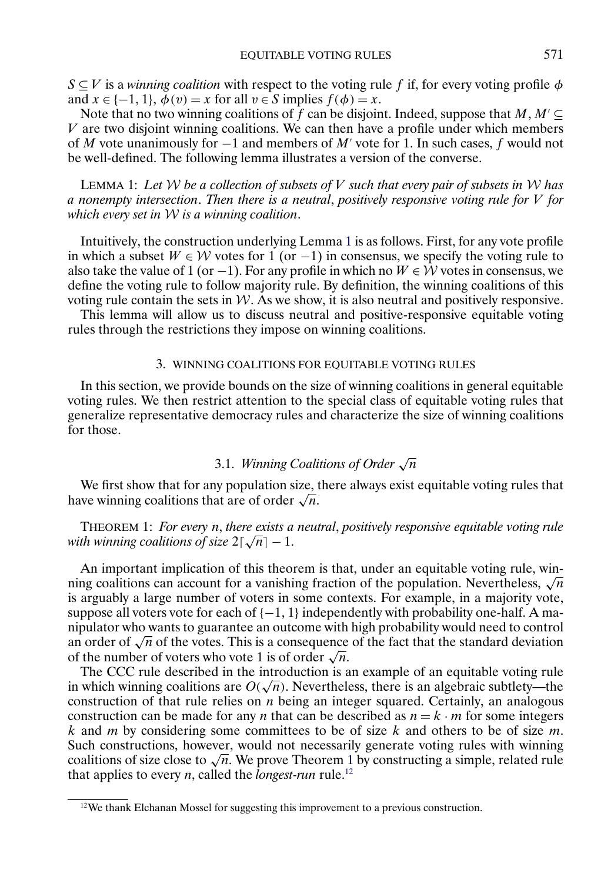<span id="page-8-0"></span> $S \subseteq V$  is a *winning coalition* with respect to the voting rule f if, for every voting profile  $\phi$ and  $x \in \{-1, 1\}, \phi(v) = x$  for all  $v \in S$  implies  $f(\phi) = x$ .

Note that no two winning coalitions of f can be disjoint. Indeed, suppose that  $M, M' \subseteq$  $V$  are two disjoint winning coalitions. We can then have a profile under which members of M vote unanimously for  $-1$  and members of M' vote for 1. In such cases, f would not be well-defined. The following lemma illustrates a version of the converse.

LEMMA 1: *Let* W *be a collection of subsets of* V *such that every pair of subsets in* W *has a nonempty intersection*. *Then there is a neutral*, *positively responsive voting rule for* V *for which every set in* W *is a winning coalition*.

Intuitively, the construction underlying Lemma 1 is as follows. First, for any vote profile in which a subset  $W ∈ W$  votes for 1 (or -1) in consensus, we specify the voting rule to also take the value of 1 (or −1). For any profile in which no  $W \in W$  votes in consensus, we define the voting rule to follow majority rule. By definition, the winning coalitions of this voting rule contain the sets in  $W$ . As we show, it is also neutral and positively responsive.

This lemma will allow us to discuss neutral and positive-responsive equitable voting rules through the restrictions they impose on winning coalitions.

# 3. WINNING COALITIONS FOR EQUITABLE VOTING RULES

In this section, we provide bounds on the size of winning coalitions in general equitable voting rules. We then restrict attention to the special class of equitable voting rules that generalize representative democracy rules and characterize the size of winning coalitions for those.

# 3.1. *Winning Coalitions of Order* <sup>√</sup><sup>n</sup>

We first show that for any population size, there always exist equitable voting rules that have winning coalitions that are of order  $\sqrt{n}$ .

THEOREM 1: *For every* n, *there exists a neutral*, *positively responsive equitable voting rule with winning coalitions of size* 2 <sup>√</sup>n<sup>−</sup> 1.

An important implication of this theorem is that, under an equitable voting rule, winning coalitions can account for a vanishing fraction of the population. Nevertheless,  $\sqrt{n}$ is arguably a large number of voters in some contexts. For example, in a majority vote, suppose all voters vote for each of  $\{-1, 1\}$  independently with probability one-half. A manipulator who wants to guarantee an outcome with high probability would need to control an order of  $\sqrt{n}$  of the votes. This is a consequence of the fact that the standard deviation of the number of voters who vote 1 is of order  $\sqrt{n}$ .

The CCC rule described in the introduction is an example of an equitable voting rule in which winning coalitions are  $O(\sqrt{n})$ . Nevertheless, there is an algebraic subtlety—the construction of that rule relies on  $n$  being an integer squared. Certainly, an analogous construction can be made for any *n* that can be described as  $n = k \cdot m$  for some integers  $k$  and  $m$  by considering some committees to be of size  $k$  and others to be of size  $m$ . Such constructions, however, would not necessarily generate voting rules with winning coalitions of size close to  $\sqrt{n}$ . We prove Theorem 1 by constructing a simple, related rule that applies to every *n*, called the *longest-run* rule.<sup>12</sup>

<sup>&</sup>lt;sup>12</sup>We thank Elchanan Mossel for suggesting this improvement to a previous construction.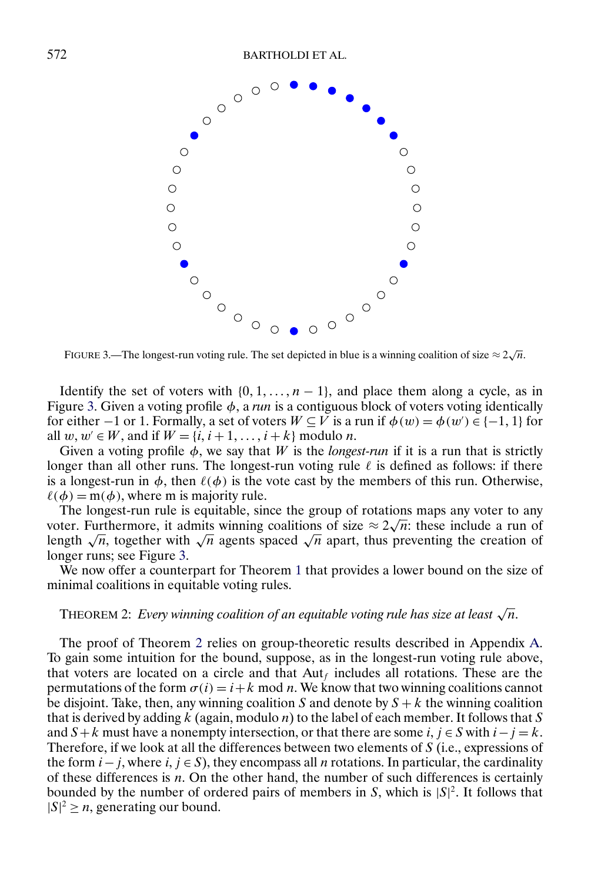<span id="page-9-0"></span>

FIGURE 3.—The longest-run voting rule. The set depicted in blue is a winning coalition of size  $\approx$  2 $\sqrt{n}$ .

Identify the set of voters with  $\{0, 1, \ldots, n-1\}$ , and place them along a cycle, as in Figure 3. Given a voting profile  $\phi$ , a *run* is a contiguous block of voters voting identically for either  $-1$  or 1. Formally, a set of voters  $W \subseteq V$  is a run if  $\phi(w) = \phi(w') \in \{-1, 1\}$  for all  $w, w \in W$ , and if  $W = \{i, i+1, \ldots, i+k\}$  modulo *n*.

Given a voting profile  $\phi$ , we say that W is the *longest-run* if it is a run that is strictly longer than all other runs. The longest-run voting rule  $\ell$  is defined as follows: if there is a longest-run in  $\phi$ , then  $\ell(\phi)$  is the vote cast by the members of this run. Otherwise,  $\ell(\phi) = m(\phi)$ , where m is majority rule.

The longest-run rule is equitable, since the group of rotations maps any voter to any The longest-run rule is equitable, since the group of rotations maps any voter to any voter. Furthermore, it admits winning coalitions of size  $\approx 2\sqrt{n}$ : these include a run of length  $\sqrt{n}$ , together with  $\sqrt{n}$  agents spaced  $\sqrt{n}$  apart, thus preventing the creation of longer runs; see Figure 3.

We now offer a counterpart for Theorem [1](#page-8-0) that provides a lower bound on the size of minimal coalitions in equitable voting rules.

#### THEOREM 2: *Every winning coalition of an equitable voting rule has size at least*  $\sqrt{n}$ .

The proof of Theorem 2 relies on group-theoretic results described in Appendix [A.](#page-14-0) To gain some intuition for the bound, suppose, as in the longest-run voting rule above, that voters are located on a circle and that  $Aut<sub>f</sub>$  includes all rotations. These are the permutations of the form  $\sigma(i) = i + k \mod n$ . We know that two winning coalitions cannot be disjoint. Take, then, any winning coalition S and denote by  $S + k$  the winning coalition that is derived by adding k (again, modulo n) to the label of each member. It follows that S and  $S + k$  must have a nonempty intersection, or that there are some  $i, j \in S$  with  $i - j = k$ . Therefore, if we look at all the differences between two elements of S (i.e., expressions of the form  $i - j$ , where  $i, j \in S$ ), they encompass all *n* rotations. In particular, the cardinality of these differences is  $n$ . On the other hand, the number of such differences is certainly bounded by the number of ordered pairs of members in S, which is  $|S|^2$ . It follows that  $|S|^2 \ge n$ , generating our bound.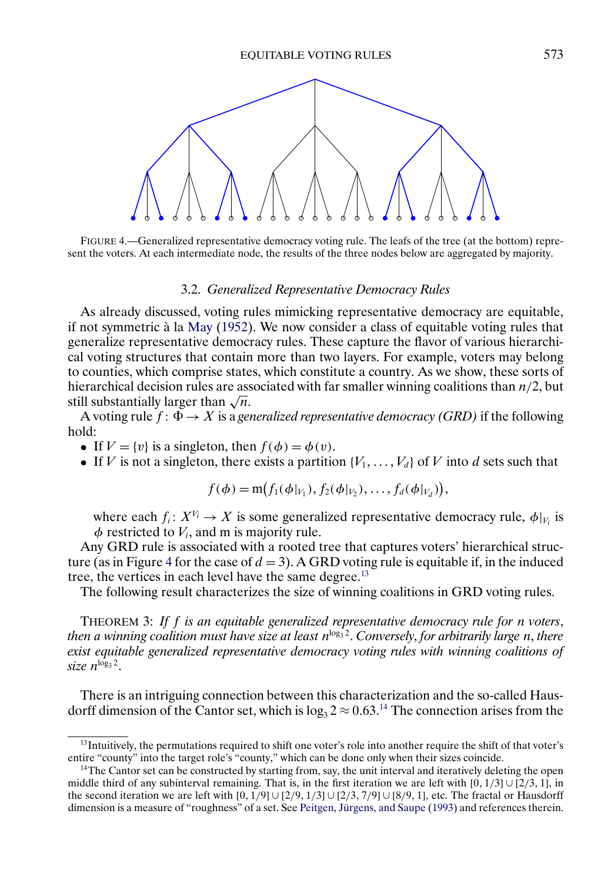<span id="page-10-0"></span>

FIGURE 4.—Generalized representative democracy voting rule. The leafs of the tree (at the bottom) represent the voters. At each intermediate node, the results of the three nodes below are aggregated by majority.

### 3.2. *Generalized Representative Democracy Rules*

As already discussed, voting rules mimicking representative democracy are equitable, if not symmetric à la [May](#page-25-0) [\(1952\)](#page-25-0). We now consider a class of equitable voting rules that generalize representative democracy rules. These capture the flavor of various hierarchical voting structures that contain more than two layers. For example, voters may belong to counties, which comprise states, which constitute a country. As we show, these sorts of hierarchical decision rules are associated with far smaller winning coalitions than  $n/2$ , but still substantially larger than  $\sqrt{n}$ .

A voting rule  $f: \Phi \to X$  is a *generalized representative democracy (GRD)* if the following hold:

- If  $V = \{v\}$  is a singleton, then  $f(\phi) = \phi(v)$ .
- If V is not a singleton, there exists a partition  $\{V_1, \ldots, V_d\}$  of V into d sets such that

$$
f(\phi) = m(f_1(\phi|_{V_1}), f_2(\phi|_{V_2}), \ldots, f_d(\phi|_{V_d})),
$$

where each  $f_i: X^{V_i} \to X$  is some generalized representative democracy rule,  $\phi|_{V_i}$  is  $\phi$  restricted to  $V_i$ , and m is majority rule.

Any GRD rule is associated with a rooted tree that captures voters' hierarchical structure (as in Figure 4 for the case of  $d = 3$ ). A GRD voting rule is equitable if, in the induced tree, the vertices in each level have the same degree.<sup>13</sup>

The following result characterizes the size of winning coalitions in GRD voting rules.

THEOREM 3: *If* f *is an equitable generalized representative democracy rule for* n *voters*, *then a winning coalition must have size at least n*<sup>log<sub>3</sub><sup>2</sup>. *Conversely, for arbitrarily large n, there*</sup> *exist equitable generalized representative democracy voting rules with winning coalitions of*  $size\ n^{\log_3 2}$ .

There is an intriguing connection between this characterization and the so-called Hausdorff dimension of the Cantor set, which is  $\log_3 2 \approx 0.63$ .<sup>14</sup> The connection arises from the

<sup>&</sup>lt;sup>13</sup>Intuitively, the permutations required to shift one voter's role into another require the shift of that voter's entire "county" into the target role's "county," which can be done only when their sizes coincide.

<sup>&</sup>lt;sup>14</sup>The Cantor set can be constructed by starting from, say, the unit interval and iteratively deleting the open middle third of any subinterval remaining. That is, in the first iteration we are left with  $[0, 1/3] \cup [2/3, 1]$ , in the second iteration we are left with  $[0, 1/9] \cup [2/9, 1/3] \cup [2/3, 7/9] \cup [8/9, 1]$ , etc. The fractal or Hausdorff dimension is a measure of "roughness" of a set. See [Peitgen, Jürgens, and Saupe](#page-26-0) [\(1993\)](#page-26-0) and references therein.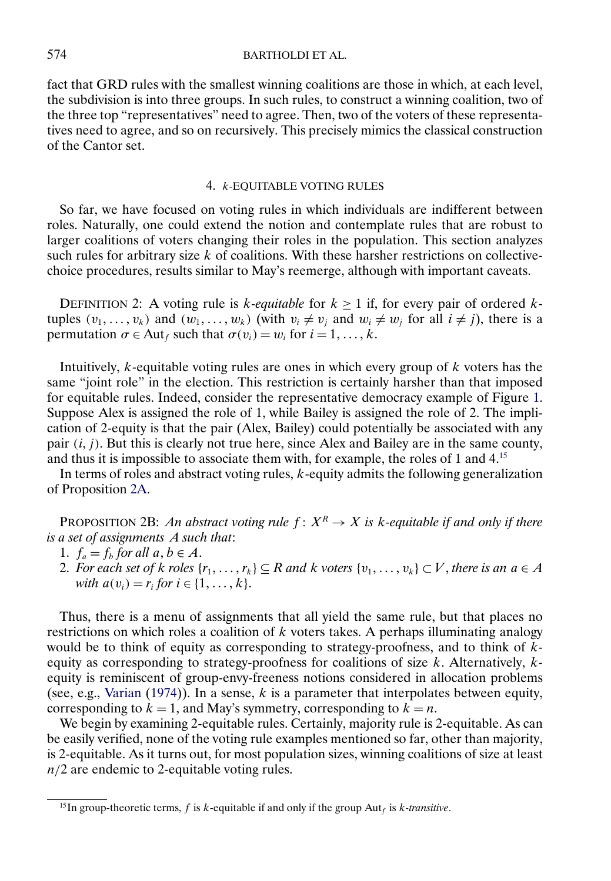<span id="page-11-0"></span>fact that GRD rules with the smallest winning coalitions are those in which, at each level, the subdivision is into three groups. In such rules, to construct a winning coalition, two of the three top "representatives" need to agree. Then, two of the voters of these representatives need to agree, and so on recursively. This precisely mimics the classical construction of the Cantor set.

# 4. k-EQUITABLE VOTING RULES

So far, we have focused on voting rules in which individuals are indifferent between roles. Naturally, one could extend the notion and contemplate rules that are robust to larger coalitions of voters changing their roles in the population. This section analyzes such rules for arbitrary size  $k$  of coalitions. With these harsher restrictions on collectivechoice procedures, results similar to May's reemerge, although with important caveats.

DEFINITION 2: A voting rule is *k*-equitable for  $k \ge 1$  if, for every pair of ordered *k*tuples  $(v_1, \ldots, v_k)$  and  $(w_1, \ldots, w_k)$  (with  $v_i \neq v_j$  and  $w_i \neq w_j$  for all  $i \neq j$ ), there is a permutation  $\sigma \in \text{Aut}_f$  such that  $\sigma(v_i) = w_i$  for  $i = 1, ..., k$ .

Intuitively,  $k$ -equitable voting rules are ones in which every group of  $k$  voters has the same "joint role" in the election. This restriction is certainly harsher than that imposed for equitable rules. Indeed, consider the representative democracy example of Figure [1.](#page-1-0) Suppose Alex is assigned the role of 1, while Bailey is assigned the role of 2. The implication of 2-equity is that the pair (Alex, Bailey) could potentially be associated with any pair  $(i, j)$ . But this is clearly not true here, since Alex and Bailey are in the same county, and thus it is impossible to associate them with, for example, the roles of 1 and 4.15

In terms of roles and abstract voting rules,  $k$ -equity admits the following generalization of Proposition [2A.](#page-7-0)

PROPOSITION 2B: *An abstract voting rule*  $f: X^R \to X$  *is k-equitable if and only if there is a set of assignments* A *such that*:

- 1.  $f_a = f_b$  for all  $a, b \in A$ .
- 2. For each set of k roles  $\{r_1, \ldots, r_k\} \subseteq R$  and k voters  $\{v_1, \ldots, v_k\} \subset V$ , there is an  $a \in A$ *with*  $a(v_i) = r_i$  *for*  $i \in \{1, ..., k\}.$

Thus, there is a menu of assignments that all yield the same rule, but that places no restrictions on which roles a coalition of  $k$  voters takes. A perhaps illuminating analogy would be to think of equity as corresponding to strategy-proofness, and to think of  $\vec{k}$ equity as corresponding to strategy-proofness for coalitions of size  $k$ . Alternatively,  $k$ equity is reminiscent of group-envy-freeness notions considered in allocation problems (see, e.g., [Varian](#page-26-0) [\(1974\)](#page-26-0)). In a sense,  $k$  is a parameter that interpolates between equity, corresponding to  $k = 1$ , and May's symmetry, corresponding to  $k = n$ .

We begin by examining 2-equitable rules. Certainly, majority rule is 2-equitable. As can be easily verified, none of the voting rule examples mentioned so far, other than majority, is 2-equitable. As it turns out, for most population sizes, winning coalitions of size at least  $n/2$  are endemic to 2-equitable voting rules.

<sup>&</sup>lt;sup>15</sup>In group-theoretic terms,  $f$  is  $k$ -equitable if and only if the group Aut<sub>f</sub> is  $k$ -transitive.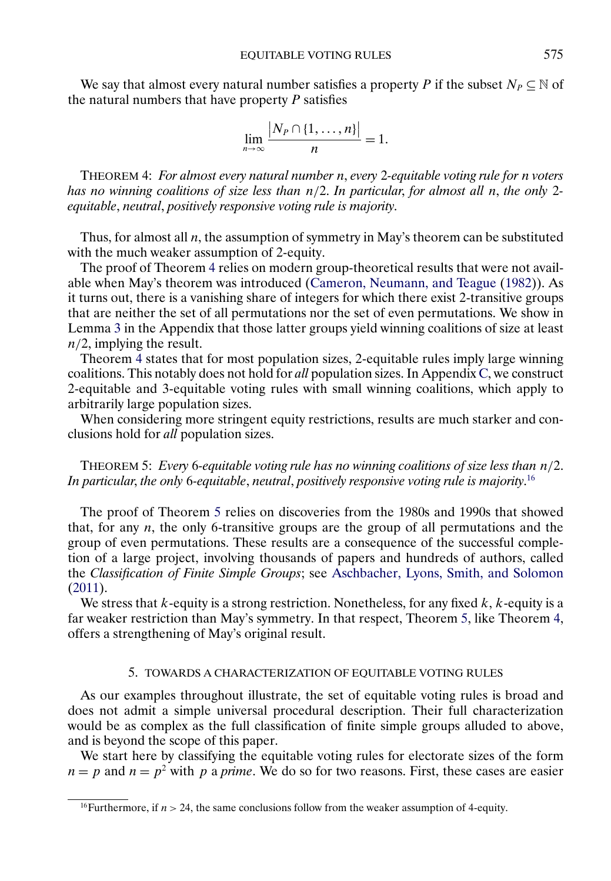<span id="page-12-0"></span>We say that almost every natural number satisfies a property P if the subset  $N_P \subseteq \mathbb{N}$  of the natural numbers that have property  $P$  satisfies

$$
\lim_{n\to\infty}\frac{|N_P\cap\{1,\ldots,n\}|}{n}=1.
$$

THEOREM 4: *For almost every natural number* n, *every* 2*-equitable voting rule for* n *voters has no winning coalitions of size less than* n/2. *In particular*, *for almost all* n, *the only* 2 *equitable*, *neutral*, *positively responsive voting rule is majority*.

Thus, for almost all  $n$ , the assumption of symmetry in May's theorem can be substituted with the much weaker assumption of 2-equity.

The proof of Theorem 4 relies on modern group-theoretical results that were not available when May's theorem was introduced [\(Cameron, Neumann, and Teague](#page-25-0) [\(1982\)](#page-25-0)). As it turns out, there is a vanishing share of integers for which there exist 2-transitive groups that are neither the set of all permutations nor the set of even permutations. We show in Lemma [3](#page-19-0) in the Appendix that those latter groups yield winning coalitions of size at least  $n/2$ , implying the result.

Theorem 4 states that for most population sizes, 2-equitable rules imply large winning coalitions. This notably does not hold for *all* population sizes. In Appendix [C,](#page-22-0) we construct 2-equitable and 3-equitable voting rules with small winning coalitions, which apply to arbitrarily large population sizes.

When considering more stringent equity restrictions, results are much starker and conclusions hold for *all* population sizes.

THEOREM 5: *Every* 6*-equitable voting rule has no winning coalitions of size less than* n/2. *In particular*, *the only* 6*-equitable*, *neutral*, *positively responsive voting rule is majority*. 16

The proof of Theorem 5 relies on discoveries from the 1980s and 1990s that showed that, for any  $n$ , the only 6-transitive groups are the group of all permutations and the group of even permutations. These results are a consequence of the successful completion of a large project, involving thousands of papers and hundreds of authors, called the *Classification of Finite Simple Groups*; see [Aschbacher, Lyons, Smith, and Solomon](#page-25-0) [\(2011\)](#page-25-0).

We stress that  $k$ -equity is a strong restriction. Nonetheless, for any fixed  $k$ ,  $k$ -equity is a far weaker restriction than May's symmetry. In that respect, Theorem 5, like Theorem 4, offers a strengthening of May's original result.

### 5. TOWARDS A CHARACTERIZATION OF EQUITABLE VOTING RULES

As our examples throughout illustrate, the set of equitable voting rules is broad and does not admit a simple universal procedural description. Their full characterization would be as complex as the full classification of finite simple groups alluded to above, and is beyond the scope of this paper.

We start here by classifying the equitable voting rules for electorate sizes of the form  $n = p$  and  $n = p<sup>2</sup>$  with p a prime. We do so for two reasons. First, these cases are easier

<sup>&</sup>lt;sup>16</sup>Furthermore, if  $n > 24$ , the same conclusions follow from the weaker assumption of 4-equity.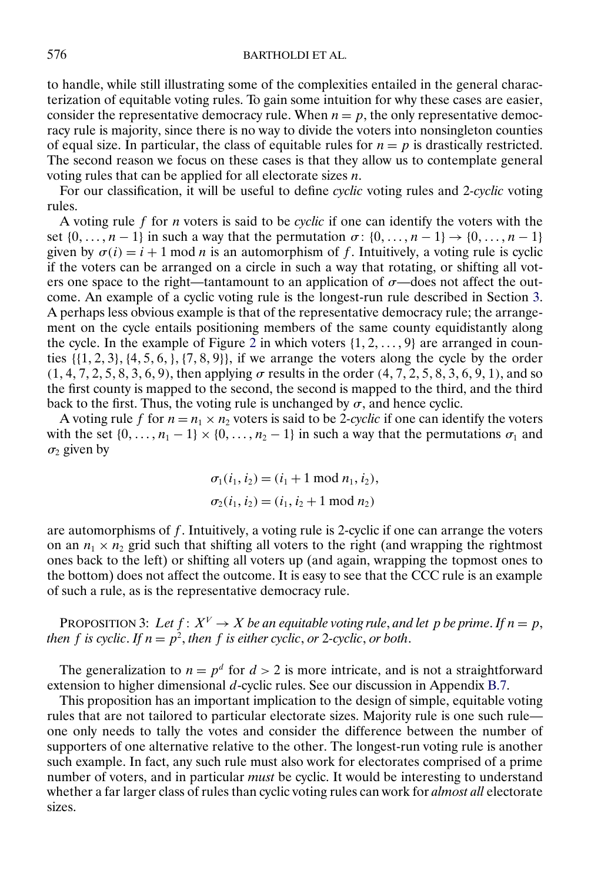<span id="page-13-0"></span>to handle, while still illustrating some of the complexities entailed in the general characterization of equitable voting rules. To gain some intuition for why these cases are easier, consider the representative democracy rule. When  $n = p$ , the only representative democracy rule is majority, since there is no way to divide the voters into nonsingleton counties of equal size. In particular, the class of equitable rules for  $n = p$  is drastically restricted. The second reason we focus on these cases is that they allow us to contemplate general voting rules that can be applied for all electorate sizes  $n$ .

For our classification, it will be useful to define *cyclic* voting rules and 2*-cyclic* voting rules.

A voting rule f for n voters is said to be *cyclic* if one can identify the voters with the set  $\{0, \ldots, n-1\}$  in such a way that the permutation  $\sigma: \{0, \ldots, n-1\} \rightarrow \{0, \ldots, n-1\}$ given by  $\sigma(i) = i + 1 \mod n$  is an automorphism of f. Intuitively, a voting rule is cyclic if the voters can be arranged on a circle in such a way that rotating, or shifting all voters one space to the right—tantamount to an application of  $\sigma$ —does not affect the outcome. An example of a cyclic voting rule is the longest-run rule described in Section [3.](#page-8-0) A perhaps less obvious example is that of the representative democracy rule; the arrangement on the cycle entails positioning members of the same county equidistantly along the cycle. In the example of Figure [2](#page-2-0) in which voters  $\{1, 2, \ldots, 9\}$  are arranged in counties  $\{ \{1, 2, 3\}, \{4, 5, 6, \}, \{7, 8, 9\} \}$ , if we arrange the voters along the cycle by the order  $(1, 4, 7, 2, 5, 8, 3, 6, 9)$ , then applying  $\sigma$  results in the order  $(4, 7, 2, 5, 8, 3, 6, 9, 1)$ , and so the first county is mapped to the second, the second is mapped to the third, and the third back to the first. Thus, the voting rule is unchanged by  $\sigma$ , and hence cyclic.

A voting rule f for  $n = n_1 \times n_2$  voters is said to be 2-cyclic if one can identify the voters with the set  $\{0, \ldots, n_1 - 1\} \times \{0, \ldots, n_2 - 1\}$  in such a way that the permutations  $\sigma_1$  and  $\sigma_2$  given by

$$
\sigma_1(i_1, i_2) = (i_1 + 1 \mod n_1, i_2),
$$
  
\n
$$
\sigma_2(i_1, i_2) = (i_1, i_2 + 1 \mod n_2)
$$

are automorphisms of  $f$ . Intuitively, a voting rule is 2-cyclic if one can arrange the voters on an  $n_1 \times n_2$  grid such that shifting all voters to the right (and wrapping the rightmost ones back to the left) or shifting all voters up (and again, wrapping the topmost ones to the bottom) does not affect the outcome. It is easy to see that the CCC rule is an example of such a rule, as is the representative democracy rule.

PROPOSITION 3: Let  $f: X^V \to X$  *be an equitable voting rule, and let p be prime. If*  $n = p$ , *then* f *is cyclic.* If  $n = p^2$ , *then* f *is either cyclic*, *or* 2*-cyclic*, *or both*.

The generalization to  $n = p^d$  for  $d > 2$  is more intricate, and is not a straightforward extension to higher dimensional d-cyclic rules. See our discussion in Appendix [B.7.](#page-20-0)

This proposition has an important implication to the design of simple, equitable voting rules that are not tailored to particular electorate sizes. Majority rule is one such rule one only needs to tally the votes and consider the difference between the number of supporters of one alternative relative to the other. The longest-run voting rule is another such example. In fact, any such rule must also work for electorates comprised of a prime number of voters, and in particular *must* be cyclic. It would be interesting to understand whether a far larger class of rules than cyclic voting rules can work for *almost all* electorate sizes.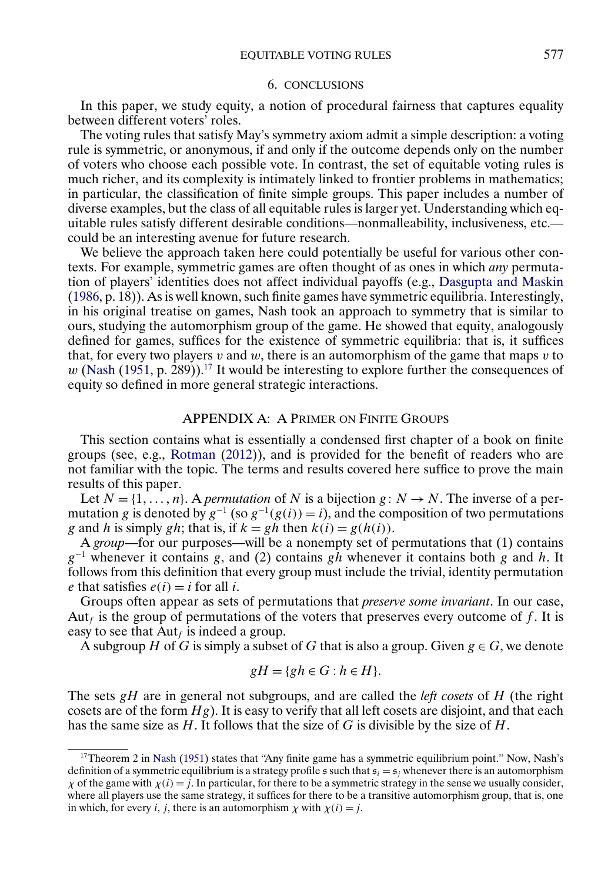### 6. CONCLUSIONS

<span id="page-14-0"></span>In this paper, we study equity, a notion of procedural fairness that captures equality between different voters' roles.

The voting rules that satisfy May's symmetry axiom admit a simple description: a voting rule is symmetric, or anonymous, if and only if the outcome depends only on the number of voters who choose each possible vote. In contrast, the set of equitable voting rules is much richer, and its complexity is intimately linked to frontier problems in mathematics; in particular, the classification of finite simple groups. This paper includes a number of diverse examples, but the class of all equitable rules is larger yet. Understanding which equitable rules satisfy different desirable conditions—nonmalleability, inclusiveness, etc. could be an interesting avenue for future research.

We believe the approach taken here could potentially be useful for various other contexts. For example, symmetric games are often thought of as ones in which *any* permutation of players' identities does not affect individual payoffs (e.g., [Dasgupta and Maskin](#page-25-0) [\(1986,](#page-25-0) p. 18)). As is well known, such finite games have symmetric equilibria. Interestingly, in his original treatise on games, Nash took an approach to symmetry that is similar to ours, studying the automorphism group of the game. He showed that equity, analogously defined for games, suffices for the existence of symmetric equilibria: that is, it suffices that, for every two players v and w, there is an automorphism of the game that maps v to w [\(Nash](#page-25-0) [\(1951,](#page-25-0) p. 289)).<sup>17</sup> It would be interesting to explore further the consequences of equity so defined in more general strategic interactions.

# APPENDIX A: A PRIMER ON FINITE GROUPS

This section contains what is essentially a condensed first chapter of a book on finite groups (see, e.g., [Rotman](#page-26-0) [\(2012\)](#page-26-0)), and is provided for the benefit of readers who are not familiar with the topic. The terms and results covered here suffice to prove the main results of this paper.

Let  $N = \{1, ..., n\}$ . A *permutation* of N is a bijection  $g: N \rightarrow N$ . The inverse of a permutation g is denoted by  $g^{-1}$  (so  $g^{-1}(g(i)) = i$ ), and the composition of two permutations g and h is simply gh; that is, if  $k = gh$  then  $k(i) = g(h(i))$ .

A *group*—for our purposes—will be a nonempty set of permutations that (1) contains  $g^{-1}$  whenever it contains g, and (2) contains gh whenever it contains both g and h. It follows from this definition that every group must include the trivial, identity permutation e that satisfies  $e(i) = i$  for all i.

Groups often appear as sets of permutations that *preserve some invariant*. In our case, Aut<sub>f</sub> is the group of permutations of the voters that preserves every outcome of f. It is easy to see that  $\text{Aut}_f$  is indeed a group.

A subgroup H of G is simply a subset of G that is also a group. Given  $g \in G$ , we denote

$$
gH = \{gh \in G : h \in H\}.
$$

The sets gH are in general not subgroups, and are called the *left cosets* of H (the right cosets are of the form  $Hg$ ). It is easy to verify that all left cosets are disjoint, and that each has the same size as  $H$ . It follows that the size of G is divisible by the size of  $H$ .

<sup>17</sup>Theorem 2 in [Nash](#page-25-0) [\(1951\)](#page-25-0) states that "Any finite game has a symmetric equilibrium point." Now, Nash's definition of a symmetric equilibrium is a strategy profile s such that  $s_i = s_j$  whenever there is an automorphism  $\chi$  of the game with  $\chi(i) = j$ . In particular, for there to be a symmetric strategy in the sense we usually consider, where all players use the same strategy, it suffices for there to be a transitive automorphism group, that is, one in which, for every *i*, *j*, there is an automorphism  $\chi$  with  $\chi(i) = j$ .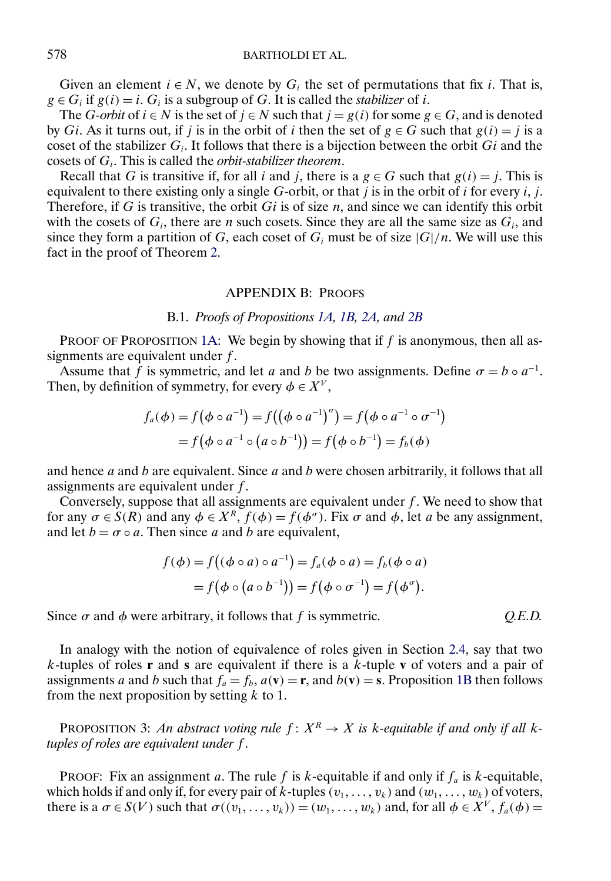<span id="page-15-0"></span>Given an element  $i \in N$ , we denote by  $G_i$  the set of permutations that fix i. That is,  $g \in G_i$  if  $g(i) = i$ .  $G_i$  is a subgroup of G. It is called the *stabilizer* of *i*.

The *G-orbit* of  $i \in N$  is the set of  $j \in N$  such that  $j = g(i)$  for some  $g \in G$ , and is denoted by Gi. As it turns out, if j is in the orbit of i then the set of  $g \in G$  such that  $g(i) = j$  is a coset of the stabilizer  $G_i$ . It follows that there is a bijection between the orbit  $Gi$  and the cosets of  $G_i$ . This is called the *orbit-stabilizer theorem*.

Recall that G is transitive if, for all i and j, there is a  $g \in G$  such that  $g(i) = j$ . This is equivalent to there existing only a single G-orbit, or that  $\tilde{j}$  is in the orbit of  $i$  for every  $i, j$ . Therefore, if G is transitive, the orbit  $Gi$  is of size n, and since we can identify this orbit with the cosets of  $G_i$ , there are *n* such cosets. Since they are all the same size as  $G_i$ , and since they form a partition of G, each coset of  $G_i$  must be of size  $|G|/n$ . We will use this fact in the proof of Theorem [2.](#page-9-0)

#### APPENDIX B: PROOFS

### B.1. *Proofs of Propositions [1A,](#page-7-0) [1B,](#page-7-0) [2A,](#page-7-0) and [2B](#page-11-0)*

PROOF OF PROPOSITION [1A:](#page-7-0) We begin by showing that if  $f$  is anonymous, then all assignments are equivalent under  $f$ .

Assume that f is symmetric, and let a and b be two assignments. Define  $\sigma = b \circ a^{-1}$ . Then, by definition of symmetry, for every  $\phi \in X^V$ ,

$$
f_a(\phi) = f(\phi \circ a^{-1}) = f((\phi \circ a^{-1})^{\sigma}) = f(\phi \circ a^{-1} \circ \sigma^{-1})
$$
  
=  $f(\phi \circ a^{-1} \circ (a \circ b^{-1})) = f(\phi \circ b^{-1}) = f_b(\phi)$ 

and hence  $a$  and  $b$  are equivalent. Since  $a$  and  $b$  were chosen arbitrarily, it follows that all assignments are equivalent under f.

Conversely, suppose that all assignments are equivalent under  $f$ . We need to show that for any  $\sigma \in S(R)$  and any  $\phi \in X^R$ ,  $f(\phi) = f(\phi^{\sigma})$ . Fix  $\sigma$  and  $\phi$ , let a be any assignment, and let  $b = \sigma \circ a$ . Then since a and b are equivalent,

$$
f(\phi) = f((\phi \circ a) \circ a^{-1}) = f_a(\phi \circ a) = f_b(\phi \circ a)
$$
  
=  $f(\phi \circ (a \circ b^{-1})) = f(\phi \circ \sigma^{-1}) = f(\phi^{\sigma}).$ 

Since  $\sigma$  and  $\phi$  were arbitrary, it follows that f is symmetric.

In analogy with the notion of equivalence of roles given in Section [2.4,](#page-6-0) say that two k-tuples of roles **r** and **s** are equivalent if there is a k-tuple **v** of voters and a pair of assignments a and b such that  $f_a = f_b$ ,  $a(\mathbf{v}) = \mathbf{r}$ , and  $b(\mathbf{v}) = \mathbf{s}$ . Proposition [1B](#page-7-0) then follows from the next proposition by setting  $k$  to 1.

PROPOSITION 3: *An abstract voting rule*  $f: X^R \to X$  *is k-equitable if and only if all ktuples of roles are equivalent under* f .

PROOF: Fix an assignment a. The rule f is k-equitable if and only if  $f_a$  is k-equitable, which holds if and only if, for every pair of k-tuples  $(v_1, \ldots, v_k)$  and  $(w_1, \ldots, w_k)$  of voters, there is a  $\sigma \in S(V)$  such that  $\sigma((v_1,\ldots,v_k)) = (w_1,\ldots,w_k)$  and, for all  $\phi \in X^V$ ,  $f_a(\phi) =$ 

$$
Q.E.D.
$$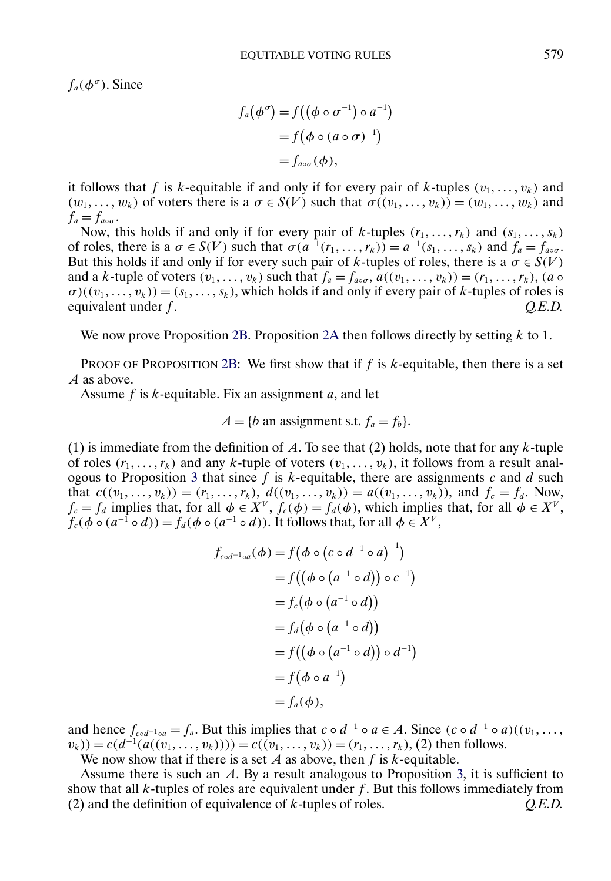$f_a(\phi^\sigma)$ . Since

$$
f_a(\phi^\sigma) = f((\phi \circ \sigma^{-1}) \circ a^{-1})
$$
  
=  $f(\phi \circ (a \circ \sigma)^{-1})$   
=  $f_{a \circ \sigma}(\phi)$ ,

it follows that f is k-equitable if and only if for every pair of k-tuples  $(v_1, \ldots, v_k)$  and  $(w_1, \ldots, w_k)$  of voters there is a  $\sigma \in S(V)$  such that  $\sigma((v_1, \ldots, v_k)) = (w_1, \ldots, w_k)$  and  $f_a = f_{a \circ \sigma}$ .

Now, this holds if and only if for every pair of k-tuples  $(r_1, \ldots, r_k)$  and  $(s_1, \ldots, s_k)$ of roles, there is a  $\sigma \in S(V)$  such that  $\sigma(a^{-1}(r_1,\ldots,r_k)) = a^{-1}(s_1,\ldots,s_k)$  and  $f_a = f_{a\circ\sigma}$ . But this holds if and only if for every such pair of k-tuples of roles, there is a  $\sigma \in S(V)$ and a k-tuple of voters  $(v_1, \ldots, v_k)$  such that  $f_a = f_{a \circ \sigma}$ ,  $a((v_1, \ldots, v_k)) = (r_1, \ldots, r_k)$ ,  $(a \circ$  $\sigma$ )( $(v_1, \ldots, v_k)$ ) = (s<sub>1</sub>, ..., s<sub>k</sub>), which holds if and only if every pair of k-tuples of roles is equivalent under f.  $Q.E.D.$ 

We now prove Proposition [2B.](#page-11-0) Proposition [2A](#page-7-0) then follows directly by setting  $k$  to 1.

PROOF OF PROPOSITION [2B:](#page-11-0) We first show that if  $f$  is  $k$ -equitable, then there is a set A as above.

Assume  $f$  is  $k$ -equitable. Fix an assignment  $a$ , and let

$$
A = \{b \text{ an assignment s.t. } f_a = f_b\}.
$$

(1) is immediate from the definition of A. To see that (2) holds, note that for any  $k$ -tuple of roles  $(r_1, \ldots, r_k)$  and any k-tuple of voters  $(v_1, \ldots, v_k)$ , it follows from a result anal-ogous to Proposition [3](#page-15-0) that since f is  $k$ -equitable, there are assignments c and d such that  $c((v_1, ..., v_k)) = (r_1, ..., r_k)$ ,  $d((v_1, ..., v_k)) = a((v_1, ..., v_k))$ , and  $f_c = f_d$ . Now,  $f_c = f_d$  implies that, for all  $\phi \in X^V$ ,  $f_c(\phi) = f_d(\phi)$ , which implies that, for all  $\phi \in X^V$ ,  $f_c(\phi \circ (a^{-1} \circ d)) = f_d(\phi \circ (a^{-1} \circ d))$ . It follows that, for all  $\phi \in X^V$ ,

$$
f_{\text{cod}^{-1}\circ a}(\phi) = f(\phi \circ (c \circ d^{-1} \circ a)^{-1})
$$
  
=  $f((\phi \circ (a^{-1} \circ d)) \circ c^{-1})$   
=  $f_c(\phi \circ (a^{-1} \circ d))$   
=  $f_d(\phi \circ (a^{-1} \circ d))$   
=  $f((\phi \circ (a^{-1} \circ d)) \circ d^{-1})$   
=  $f(\phi \circ a^{-1})$   
=  $f_a(\phi)$ ,

and hence  $f_{cod^{-1} \circ a} = f_a$ . But this implies that  $c \circ d^{-1} \circ a \in A$ . Since  $(c \circ d^{-1} \circ a)((v_1, \ldots, v_n))$  $(v_k) = c(d^{-1}(a((v_1, \ldots, v_k)))) = c((v_1, \ldots, v_k)) = (r_1, \ldots, r_k), (2)$  then follows.

We now show that if there is a set A as above, then  $f$  is  $k$ -equitable.

Assume there is such an  $A$ . By a result analogous to Proposition [3,](#page-15-0) it is sufficient to show that all  $k$ -tuples of roles are equivalent under  $f$ . But this follows immediately from (2) and the definition of equivalence of k-tuples of roles. *Q.E.D.*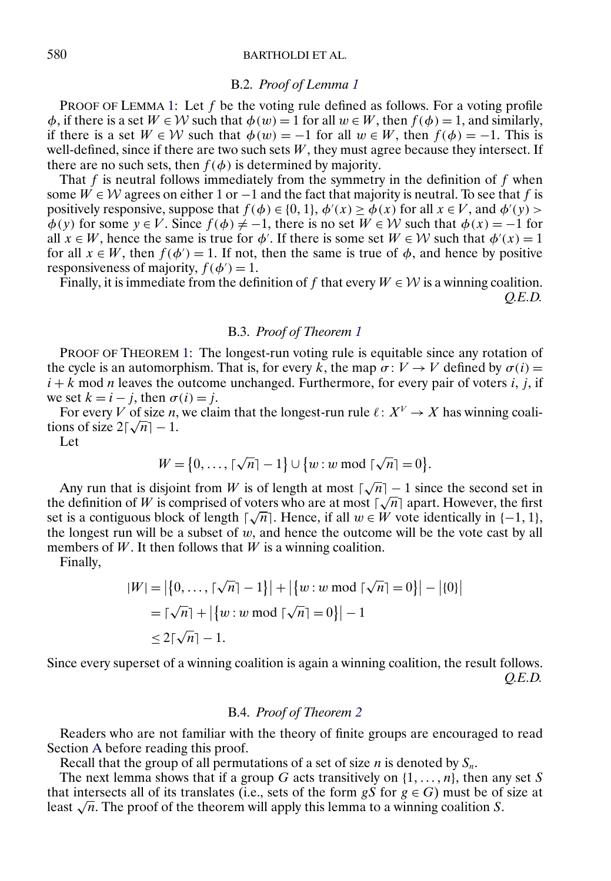# 580 BARTHOLDI ET AL.

#### B.2. *Proof of Lemma [1](#page-8-0)*

PROOF OF LEMMA [1:](#page-8-0) Let  $f$  be the voting rule defined as follows. For a voting profile  $\phi$ , if there is a set  $W \in \mathcal{W}$  such that  $\phi(w) = 1$  for all  $w \in W$ , then  $f(\phi) = 1$ , and similarly, if there is a set  $W \in W$  such that  $\phi(w) = -1$  for all  $w \in W$ , then  $f(\phi) = -1$ . This is well-defined, since if there are two such sets  $W$ , they must agree because they intersect. If there are no such sets, then  $f(\phi)$  is determined by majority.

That  $f$  is neutral follows immediately from the symmetry in the definition of  $f$  when some  $W \in \mathcal{W}$  agrees on either 1 or  $-1$  and the fact that majority is neutral. To see that f is positively responsive, suppose that  $f(\phi) \in \{0, 1\}$ ,  $\phi'(x) \ge \phi(x)$  for all  $x \in V$ , and  $\phi'(y)$  $\phi(y)$  for some  $y \in V$ . Since  $f(\phi) \neq -1$ , there is no set  $W \in W$  such that  $\phi(x) = -1$  for all  $x \in W$ , hence the same is true for  $\phi'$ . If there is some set  $W \in W$  such that  $\phi'(x) = 1$ for all  $x \in W$ , then  $f(\phi') = 1$ . If not, then the same is true of  $\phi$ , and hence by positive responsiveness of majority,  $f(\phi') = 1$ .

Finally, it is immediate from the definition of f that every  $W \in \mathcal{W}$  is a winning coalition. *Q.E.D.*

# B.3. *Proof of Theorem [1](#page-8-0)*

PROOF OF THEOREM [1:](#page-8-0) The longest-run voting rule is equitable since any rotation of the cycle is an automorphism. That is, for every k, the map  $\sigma: V \to V$  defined by  $\sigma(i) =$  $i + k$  mod *n* leaves the outcome unchanged. Furthermore, for every pair of voters i, j, if we set  $k = i - j$ , then  $\sigma(i) = j$ .

For every V of size n, we claim that the longest-run rule  $\ell: X^V \to X$  has winning coali-For every  $V$  or size *n*,<br>tions of size  $2\lceil \sqrt{n} \rceil - 1$ .

Let

$$
W = \{0, \ldots, \lceil \sqrt{n} \rceil - 1\} \cup \{w : w \bmod \lceil \sqrt{n} \rceil = 0\}.
$$

Any run that is disjoint from W is of length at most  $\lceil \sqrt{n} \rceil - 1$  since the second set in Any run that is disjoint from W is of length at most  $|\sqrt{n}| - 1$  since the second set in the definition of W is comprised of voters who are at most  $[\sqrt{n}]$  apart. However, the first the definition of *w* is comprised of voters who are at most  $|\sqrt{n}|$  apart. However, the first set is a contiguous block of length  $[\sqrt{n}]$ . Hence, if all  $w \in W$  vote identically in  $\{-1, 1\}$ , the longest run will be a subset of  $w$ , and hence the outcome will be the vote cast by all members of  $W$ . It then follows that  $W$  is a winning coalition.

Finally,

$$
|W| = |\{0, ..., \lceil \sqrt{n} \rceil - 1\}| + |\{w : w \bmod \lceil \sqrt{n} \rceil = 0\}| - |\{0\}|
$$
  
=  $\lceil \sqrt{n} \rceil + |\{w : w \bmod \lceil \sqrt{n} \rceil = 0\}| - 1$   
 $\leq 2\lceil \sqrt{n} \rceil - 1.$ 

Since every superset of a winning coalition is again a winning coalition, the result follows. *Q.E.D.*

#### B.4. *Proof of Theorem [2](#page-9-0)*

Readers who are not familiar with the theory of finite groups are encouraged to read Section [A](#page-14-0) before reading this proof.

Recall that the group of all permutations of a set of size  $n$  is denoted by  $S_n$ .

The next lemma shows that if a group G acts transitively on  $\{1, \ldots, n\}$ , then any set S that intersects all of its translates (i.e., sets of the form  $gS$  for  $g \in G$ ) must be of size at least  $\sqrt{n}$ . The proof of the theorem will apply this lemma to a winning coalition S.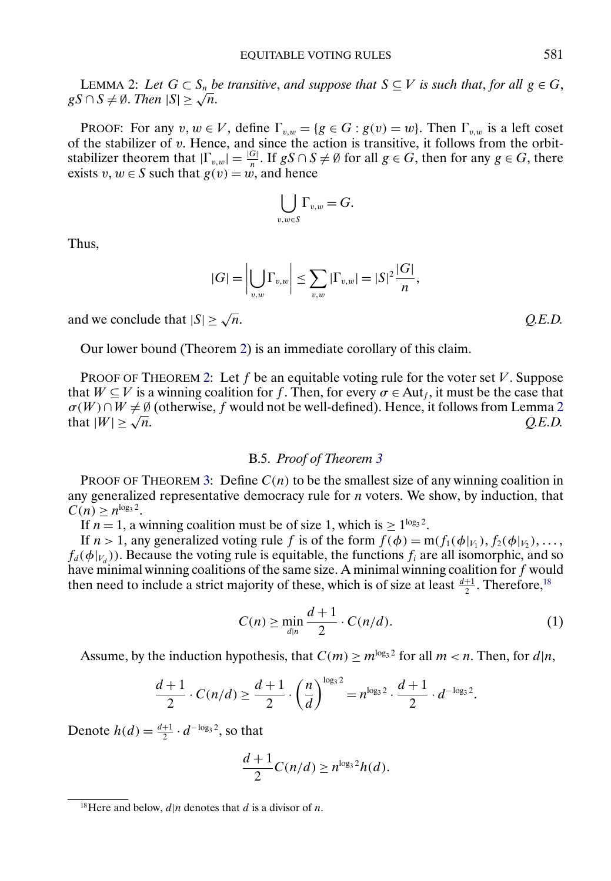<span id="page-18-0"></span>LEMMA 2: Let  $G \subset S_n$  be transitive, and suppose that  $S \subseteq V$  is such that, for all  $g \in G$ , LEMMA 2: Let G ⊂ S<sub>n</sub> b<br>gS ∩ S ≠ Ø. Then |S| ≥ √n.

**PROOF:** For any  $v, w \in V$ , define  $\Gamma_{v,w} = \{g \in G : g(v) = w\}$ . Then  $\Gamma_{v,w}$  is a left coset of the stabilizer of  $v$ . Hence, and since the action is transitive, it follows from the orbitstabilizer theorem that  $|\Gamma_{v,w}| = \frac{|G|}{n}$ . If  $gS \cap S \neq \emptyset$  for all  $g \in G$ , then for any  $g \in G$ , there exists  $v, w \in S$  such that  $g(v) = w$ , and hence

$$
\bigcup_{v,w\in S}\Gamma_{v,w}=G.
$$

Thus,

$$
|G| = \left|\bigcup_{v,w} \Gamma_{v,w}\right| \leq \sum_{v,w} |\Gamma_{v,w}| = |S|^2 \frac{|G|}{n},
$$

and we conclude that  $|S| \ge \sqrt{n}$ .  $Q.E.D.$ 

Our lower bound (Theorem [2\)](#page-9-0) is an immediate corollary of this claim.

PROOF OF THEOREM [2:](#page-9-0) Let f be an equitable voting rule for the voter set  $V$ . Suppose that  $W \subseteq V$  is a winning coalition for f. Then, for every  $\sigma \in Aut_f$ , it must be the case that  $\sigma(W) \cap W \neq \emptyset$  (otherwise, f would not be well-defined). Hence, it follows from Lemma 2 that  $|W| \geq \sqrt{n}$ . *Q.E.D.* 

### B.5. *Proof of Theorem [3](#page-10-0)*

PROOF OF THEOREM [3:](#page-10-0) Define  $C(n)$  to be the smallest size of any winning coalition in any generalized representative democracy rule for n voters. We show, by induction, that  $C(n) \geq n^{\log_3 2}$ .

If  $n = 1$ , a winning coalition must be of size 1, which is  $\geq 1^{\log_3 2}$ .

If  $n > 1$ , any generalized voting rule f is of the form  $f(\phi) = m(f_1(\phi|_{V_1}), f_2(\phi|_{V_2}), \dots,$  $f_d(\phi|_{V_d})$ ). Because the voting rule is equitable, the functions  $f_i$  are all isomorphic, and so have minimal winning coalitions of the same size. A minimal winning coalition for  $f$  would then need to include a strict majority of these, which is of size at least  $\frac{d+1}{2}$ . Therefore,<sup>18</sup>

$$
C(n) \ge \min_{d|n} \frac{d+1}{2} \cdot C(n/d). \tag{1}
$$

Assume, by the induction hypothesis, that  $C(m) \ge m^{\log_3 2}$  for all  $m < n$ . Then, for  $d|n$ ,

$$
\frac{d+1}{2} \cdot C(n/d) \ge \frac{d+1}{2} \cdot \left(\frac{n}{d}\right)^{\log_3 2} = n^{\log_3 2} \cdot \frac{d+1}{2} \cdot d^{-\log_3 2}.
$$

Denote  $h(d) = \frac{d+1}{2} \cdot d^{-\log_3 2}$ , so that

$$
\frac{d+1}{2}C(n/d) \ge n^{\log_3 2}h(d).
$$

<sup>&</sup>lt;sup>18</sup>Here and below,  $d|n$  denotes that d is a divisor of n.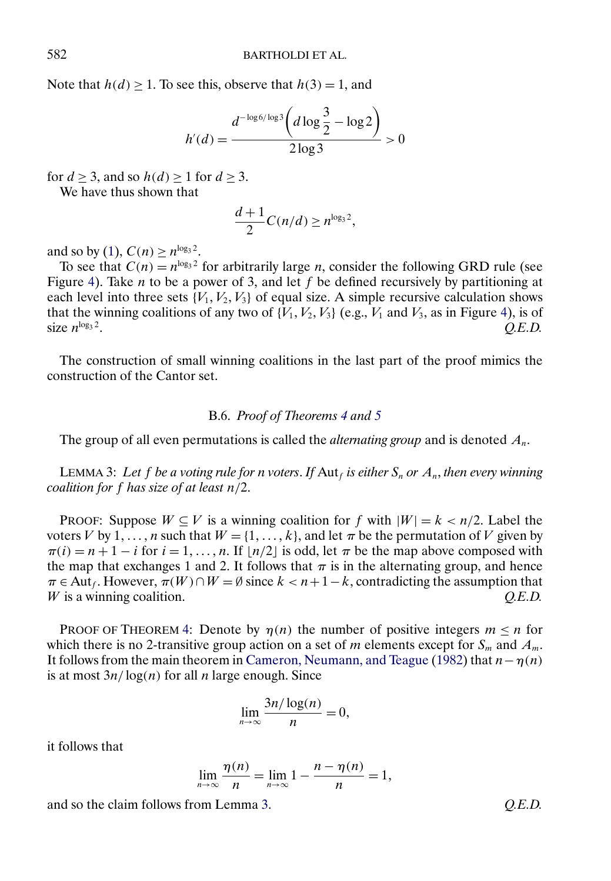<span id="page-19-0"></span>Note that  $h(d) \ge 1$ . To see this, observe that  $h(3) = 1$ , and

$$
h'(d) = \frac{d^{-\log 6/\log 3} \left( d \log \frac{3}{2} - \log 2 \right)}{2 \log 3} > 0
$$

for  $d \geq 3$ , and so  $h(d) \geq 1$  for  $d \geq 3$ .

We have thus shown that

$$
\frac{d+1}{2}C(n/d) \ge n^{\log_3 2},
$$

and so by [\(1\)](#page-18-0),  $C(n) > n^{\log_3 2}$ .

To see that  $C(n) = n^{\log_3 2}$  for arbitrarily large *n*, consider the following GRD rule (see Figure [4\)](#page-10-0). Take *n* to be a power of 3, and let  $f$  be defined recursively by partitioning at each level into three sets  $\{V_1, V_2, V_3\}$  of equal size. A simple recursive calculation shows that the winning coalitions of any two of  $\{V_1, V_2, V_3\}$  (e.g.,  $V_1$  and  $V_3$ , as in Figure [4\)](#page-10-0), is of size  $n^{\log_3 2}$ .  $Q.E.D.$ 

The construction of small winning coalitions in the last part of the proof mimics the construction of the Cantor set.

### B.6. *Proof of Theorems [4](#page-12-0) and [5](#page-12-0)*

The group of all even permutations is called the *alternating group* and is denoted  $A_n$ .

LEMMA 3: Let f be a voting rule for *n* voters. If  $\Delta u_f$  is either  $S_n$  or  $A_n$ , then every winning *coalition for* f *has size of at least* n/2.

PROOF: Suppose  $W \subseteq V$  is a winning coalition for f with  $|W| = k < n/2$ . Label the voters V by 1, ..., *n* such that  $W = \{1, ..., k\}$ , and let  $\pi$  be the permutation of V given by  $\pi(i) = n + 1 - i$  for  $i = 1, ..., n$ . If  $\lfloor n/2 \rfloor$  is odd, let  $\pi$  be the map above composed with the map that exchanges 1 and 2. It follows that  $\pi$  is in the alternating group, and hence  $\pi \in$  Aut<sub>f</sub>. However,  $\pi(W) \cap W = \emptyset$  since  $k < n+1-k$ , contradicting the assumption that W is a winning coalition.  $Q.E.D.$ 

PROOF OF THEOREM [4:](#page-12-0) Denote by  $\eta(n)$  the number of positive integers  $m \leq n$  for which there is no 2-transitive group action on a set of m elements except for  $S_m$  and  $A_m$ . It follows from the main theorem in [Cameron, Neumann, and Teague](#page-25-0) [\(1982\)](#page-25-0) that  $n - \eta(n)$ is at most  $3n/\log(n)$  for all *n* large enough. Since

$$
\lim_{n\to\infty}\frac{3n/\log(n)}{n}=0,
$$

it follows that

$$
\lim_{n\to\infty}\frac{\eta(n)}{n}=\lim_{n\to\infty}1-\frac{n-\eta(n)}{n}=1,
$$

and so the claim follows from Lemma 3. *Q.E.D.*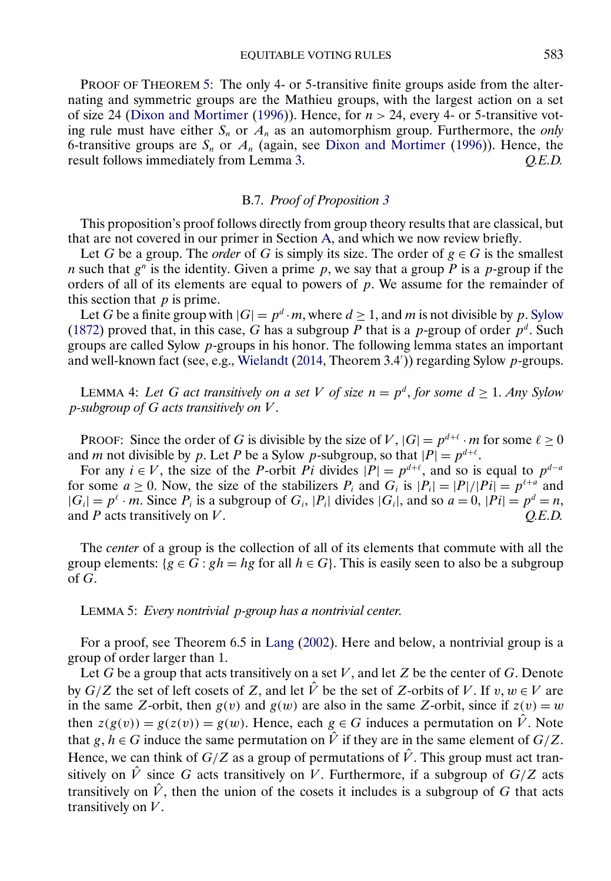<span id="page-20-0"></span>PROOF OF THEOREM [5:](#page-12-0) The only 4- or 5-transitive finite groups aside from the alternating and symmetric groups are the Mathieu groups, with the largest action on a set of size 24 [\(Dixon and Mortimer](#page-25-0) [\(1996\)](#page-25-0)). Hence, for  $n > 24$ , every 4- or 5-transitive voting rule must have either  $S_n$  or  $A_n$  as an automorphism group. Furthermore, the *only* 6-transitive groups are  $S_n$  or  $A_n$  (again, see [Dixon and Mortimer](#page-25-0) [\(1996\)](#page-25-0)). Hence, the result follows immediately from Lemma 3. *O.E.D.* result follows immediately from Lemma [3.](#page-19-0)

# B.7. *Proof of Proposition [3](#page-13-0)*

This proposition's proof follows directly from group theory results that are classical, but that are not covered in our primer in Section [A,](#page-14-0) and which we now review briefly.

Let G be a group. The *order* of G is simply its size. The order of  $g \in G$  is the smallest *n* such that  $g^n$  is the identity. Given a prime p, we say that a group P is a p-group if the orders of all of its elements are equal to powers of  $p$ . We assume for the remainder of this section that  $p$  is prime.

Let G be a finite group with  $|G| = p^d \cdot m$ , where  $d \ge 1$ , and m is not divisible by p. [Sylow](#page-26-0) [\(1872\)](#page-26-0) proved that, in this case, G has a subgroup P that is a p-group of order  $p^d$ . Such groups are called Sylow p-groups in his honor. The following lemma states an important and well-known fact (see, e.g., [Wielandt](#page-26-0) [\(2014,](#page-26-0) Theorem 3.4')) regarding Sylow p-groups.

LEMMA 4: Let G act transitively on a set V of size  $n = p^d$ , for some  $d \geq 1$ . Any Sylow p*-subgroup of* G *acts transitively on* V .

PROOF: Since the order of G is divisible by the size of V,  $|G| = p^{d+\ell} \cdot m$  for some  $\ell \ge 0$ and *m* not divisible by p. Let P be a Sylow p-subgroup, so that  $|P| = p^{d+\ell}$ .

For any  $i \in V$ , the size of the P-orbit Pi divides  $|P| = p^{d+\ell}$ , and so is equal to  $p^{d-a}$ for some  $a \ge 0$ . Now, the size of the stabilizers  $P_i$  and  $G_i$  is  $|P_i| = |P|/|P_i| = p^{\ell+a}$  and  $|G_i| = p^{\ell} \cdot m$ . Since  $P_i$  is a subgroup of  $G_i$ ,  $|P_i|$  divides  $|G_i|$ , and so  $a = 0$ ,  $|Pi| = p^{\ell} = n$ , and P acts transitively on V.  $Q.E.D.$ 

The *center* of a group is the collection of all of its elements that commute with all the group elements: { $g \in \overline{G}$  :  $gh = hg$  for all  $h \in G$ }. This is easily seen to also be a subgroup of G.

LEMMA 5: *Every nontrivial* p*-group has a nontrivial center*.

For a proof, see Theorem 6.5 in [Lang](#page-25-0) [\(2002\)](#page-25-0). Here and below, a nontrivial group is a group of order larger than 1.

Let G be a group that acts transitively on a set V, and let Z be the center of G. Denote by  $G/Z$  the set of left cosets of Z, and let  $\hat{V}$  be the set of Z-orbits of V. If  $v, w \in V$  are in the same Z-orbit, then  $g(v)$  and  $g(w)$  are also in the same Z-orbit, since if  $z(v) = w$ then  $z(g(v)) = g(z(v)) = g(w)$ . Hence, each  $g \in G$  induces a permutation on  $\hat{V}$ . Note that  $g, h \in G$  induce the same permutation on  $\hat{V}$  if they are in the same element of  $G/Z$ . Hence, we can think of  $G/Z$  as a group of permutations of  $\hat{V}$ . This group must act transitively on  $\hat{V}$  since G acts transitively on V. Furthermore, if a subgroup of  $G/Z$  acts transitively on  $\hat{V}$ , then the union of the cosets it includes is a subgroup of G that acts transitively on  $V$ .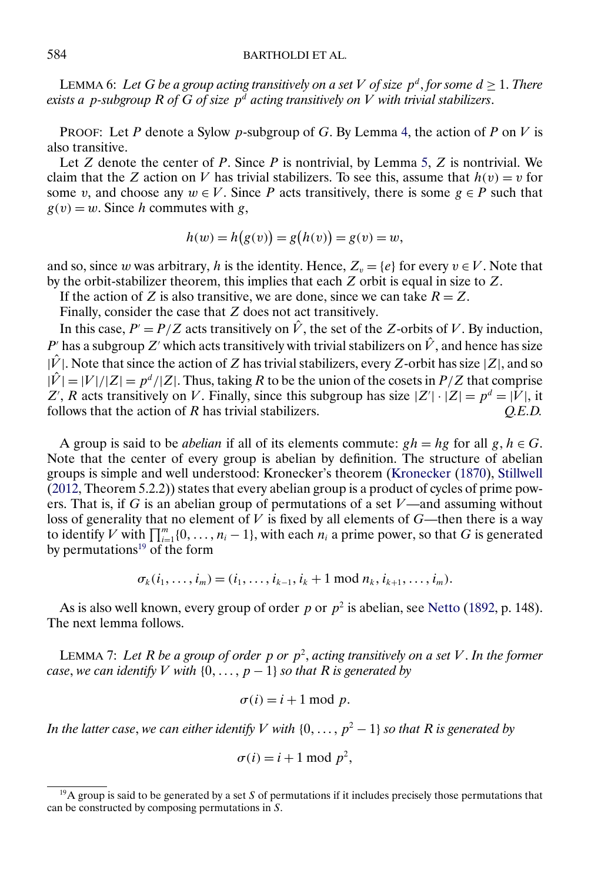# <span id="page-21-0"></span>584 BARTHOLDI ET AL.

LEMMA 6: Let *G* be a group acting transitively on a set *V* of size  $p^d$ , for some  $d \ge 1$ . There *exists a p-subgroup* R of  $\ddot{G}$  of size  $p^d$  acting transitively on  $V$  with trivial stabilizers.

PROOF: Let P denote a Sylow p-subgroup of G. By Lemma [4,](#page-20-0) the action of P on V is also transitive.

Let  $Z$  denote the center of  $P$ . Since  $P$  is nontrivial, by Lemma [5,](#page-20-0)  $Z$  is nontrivial. We claim that the Z action on V has trivial stabilizers. To see this, assume that  $h(v) = v$  for some v, and choose any  $w \in V$ . Since P acts transitively, there is some  $g \in P$  such that  $g(v) = w$ . Since h commutes with g,

$$
h(w) = h(g(v)) = g(h(v)) = g(v) = w,
$$

and so, since w was arbitrary, h is the identity. Hence,  $Z_v = \{e\}$  for every  $v \in V$ . Note that by the orbit-stabilizer theorem, this implies that each Z orbit is equal in size to Z.

If the action of Z is also transitive, we are done, since we can take  $R = Z$ .

Finally, consider the case that Z does not act transitively.

In this case,  $P' = P/Z$  acts transitively on  $\hat{V}$ , the set of the Z-orbits of V. By induction, P' has a subgroup Z' which acts transitively with trivial stabilizers on  $\hat{V}$ , and hence has size  $|\hat{V}|$ . Note that since the action of Z has trivial stabilizers, every Z-orbit has size  $|Z|$ , and so  $|\hat{V}| = |V|/|Z| = p^d/|Z|$ . Thus, taking R to be the union of the cosets in  $P/Z$  that comprise Z', R acts transitively on V. Finally, since this subgroup has size  $|Z'|\cdot |Z| = p^d = |V|$ , it follows that the action of R has trivial stabilizers. *Q.E.D.*

A group is said to be *abelian* if all of its elements commute:  $gh = hg$  for all  $g, h \in G$ . Note that the center of every group is abelian by definition. The structure of abelian groups is simple and well understood: Kronecker's theorem [\(Kronecker](#page-25-0) [\(1870\)](#page-25-0), [Stillwell](#page-26-0) [\(2012,](#page-26-0) Theorem 5.2.2)) states that every abelian group is a product of cycles of prime powers. That is, if G is an abelian group of permutations of a set  $V$ —and assuming without loss of generality that no element of  $V$  is fixed by all elements of  $G$ —then there is a way to identify V with  $\prod_{i=1}^{m} \{0, \ldots, n_i - 1\}$ , with each  $n_i$  a prime power, so that G is generated by permutations<sup>19</sup> of the form

$$
\sigma_k(i_1,\ldots,i_m)=(i_1,\ldots,i_{k-1},i_k+1 \text{ mod } n_k,i_{k+1},\ldots,i_m).
$$

As is also well known, every group of order p or  $p^2$  is abelian, see [Netto](#page-25-0) [\(1892,](#page-25-0) p. 148). The next lemma follows.

LEMMA 7: Let R be a group of order p or  $p^2$ , acting transitively on a set V. In the former *case, we can identify*  $V$  *with*  $\{0, \ldots, p-1\}$  *so that*  $R$  *is generated by* 

$$
\sigma(i) = i + 1 \bmod p.
$$

In the latter case, we can either identify  $V$  with  $\{0,\ldots,p^2-1\}$  so that  $R$  is generated by

$$
\sigma(i) = i + 1 \bmod p^2,
$$

 $19A$  group is said to be generated by a set S of permutations if it includes precisely those permutations that can be constructed by composing permutations in S.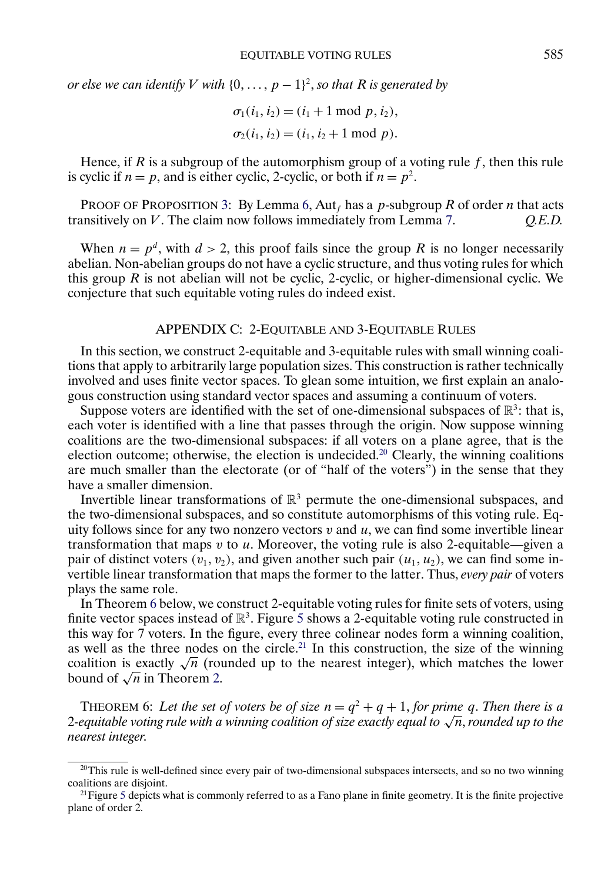<span id="page-22-0"></span>*or else we can identify*  $V$  *with*  $\{0, \ldots, p-1\}^2$ , so that R is generated by

$$
\sigma_1(i_1, i_2) = (i_1 + 1 \mod p, i_2),
$$
  
\n
$$
\sigma_2(i_1, i_2) = (i_1, i_2 + 1 \mod p).
$$

Hence, if R is a subgroup of the automorphism group of a voting rule f, then this rule is cyclic if  $n = p$ , and is either cyclic, 2-cyclic, or both if  $n = p^2$ .

PROOF OF PROPOSITION [3:](#page-13-0) By Lemma [6,](#page-21-0) Aut<sub>f</sub> has a p-subgroup R of order n that acts transitively on V . The claim now follows immediately from Lemma [7.](#page-21-0) *Q.E.D.*

When  $n = p^d$ , with  $d > 2$ , this proof fails since the group R is no longer necessarily abelian. Non-abelian groups do not have a cyclic structure, and thus voting rules for which this group  $R$  is not abelian will not be cyclic, 2-cyclic, or higher-dimensional cyclic. We conjecture that such equitable voting rules do indeed exist.

# APPENDIX C: 2-EQUITABLE AND 3-EQUITABLE RULES

In this section, we construct 2-equitable and 3-equitable rules with small winning coalitions that apply to arbitrarily large population sizes. This construction is rather technically involved and uses finite vector spaces. To glean some intuition, we first explain an analogous construction using standard vector spaces and assuming a continuum of voters.

Suppose voters are identified with the set of one-dimensional subspaces of  $\mathbb{R}^3$ : that is, each voter is identified with a line that passes through the origin. Now suppose winning coalitions are the two-dimensional subspaces: if all voters on a plane agree, that is the election outcome; otherwise, the election is undecided.<sup>20</sup> Clearly, the winning coalitions are much smaller than the electorate (or of "half of the voters") in the sense that they have a smaller dimension.

Invertible linear transformations of  $\mathbb{R}^3$  permute the one-dimensional subspaces, and the two-dimensional subspaces, and so constitute automorphisms of this voting rule. Equity follows since for any two nonzero vectors  $v$  and  $u$ , we can find some invertible linear transformation that maps  $v$  to  $u$ . Moreover, the voting rule is also 2-equitable—given a pair of distinct voters  $(v_1, v_2)$ , and given another such pair  $(u_1, u_2)$ , we can find some invertible linear transformation that maps the former to the latter. Thus, *every pair* of voters plays the same role.

In Theorem 6 below, we construct 2-equitable voting rules for finite sets of voters, using finite vector spaces instead of  $\mathbb{R}^3$ . Figure [5](#page-23-0) shows a 2-equitable voting rule constructed in this way for 7 voters. In the figure, every three colinear nodes form a winning coalition, as well as the three nodes on the circle.<sup>21</sup> In this construction, the size of the winning coalition is exactly  $\sqrt{n}$  (rounded up to the nearest integer), which matches the lower bound of  $\sqrt{n}$  in Theorem [2.](#page-9-0)

THEOREM 6: Let the set of voters be of size  $n = q^2 + q + 1$ , for prime q. Then there is a <sup>2</sup>*-equitable voting rule with a winning coalition of size exactly equal to* <sup>√</sup>n, *rounded up to the nearest integer*.

<sup>&</sup>lt;sup>20</sup>This rule is well-defined since every pair of two-dimensional subspaces intersects, and so no two winning coalitions are disjoint.

<sup>&</sup>lt;sup>21</sup>Figure [5](#page-23-0) depicts what is commonly referred to as a Fano plane in finite geometry. It is the finite projective plane of order 2.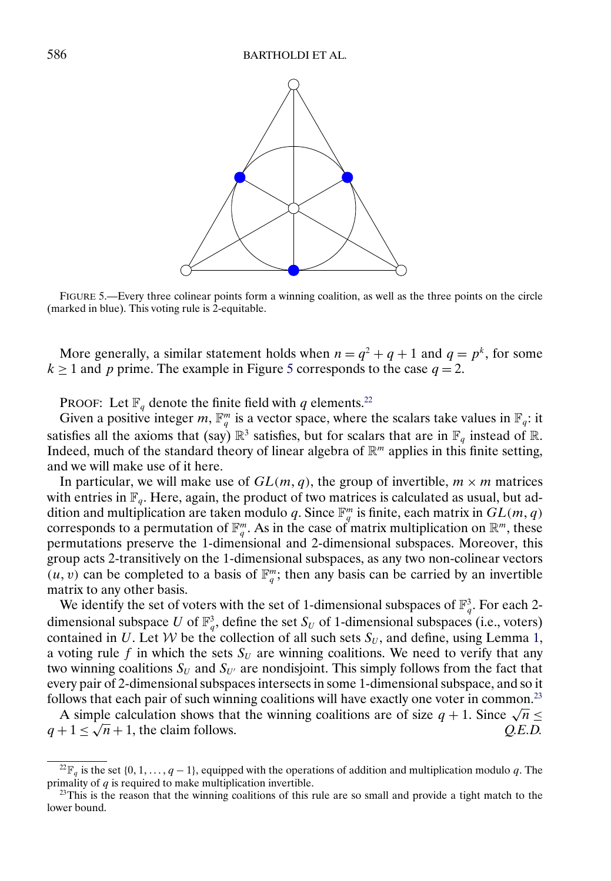<span id="page-23-0"></span>

FIGURE 5.—Every three colinear points form a winning coalition, as well as the three points on the circle (marked in blue). This voting rule is 2-equitable.

More generally, a similar statement holds when  $n = q^2 + q + 1$  and  $q = p^k$ , for some  $k \ge 1$  and p prime. The example in Figure 5 corresponds to the case  $q = 2$ .

PROOF: Let  $\mathbb{F}_q$  denote the finite field with q elements.<sup>22</sup>

Given a positive integer m,  $\mathbb{F}_q^m$  is a vector space, where the scalars take values in  $\mathbb{F}_q$ : it satisfies all the axioms that (say)  $\mathbb{R}^3$  satisfies, but for scalars that are in  $\mathbb{F}_q$  instead of  $\mathbb{R}$ . Indeed, much of the standard theory of linear algebra of  $\mathbb{R}^m$  applies in this finite setting, and we will make use of it here.

In particular, we will make use of  $GL(m, q)$ , the group of invertible,  $m \times m$  matrices with entries in  $\mathbb{F}_q$ . Here, again, the product of two matrices is calculated as usual, but addition and multiplication are taken modulo q. Since  $\mathbb{F}_q^m$  is finite, each matrix in  $GL(m, q)$ corresponds to a permutation of  $\mathbb{F}_q^m$ . As in the case of matrix multiplication on  $\mathbb{R}^m$ , these permutations preserve the 1-dimensional and 2-dimensional subspaces. Moreover, this group acts 2-transitively on the 1-dimensional subspaces, as any two non-colinear vectors  $(u, v)$  can be completed to a basis of  $\mathbb{F}_q^m$ ; then any basis can be carried by an invertible matrix to any other basis.

We identify the set of voters with the set of 1-dimensional subspaces of  $\mathbb{F}_q^3$ . For each 2dimensional subspace U of  $\mathbb{F}_q^3$ , define the set  $S_U$  of 1-dimensional subspaces (i.e., voters) contained in U. Let W be the collection of all such sets  $S_U$ , and define, using Lemma [1,](#page-8-0) a voting rule f in which the sets  $S_U$  are winning coalitions. We need to verify that any two winning coalitions  $S_U$  and  $S_{U'}$  are nondisjoint. This simply follows from the fact that every pair of 2-dimensional subspaces intersects in some 1-dimensional subspace, and so it follows that each pair of such winning coalitions will have exactly one voter in common.<sup>23</sup>

Hows that each pair of such winning coalitions will have exactly one voter in common.<sup> $-$ </sup> A simple calculation shows that the winning coalitions are of size  $q + 1$ . Since  $\sqrt{n} \le$ A simple calculation shows that the winning coalitions are of size  $q + 1$ . Since  $\sqrt{n} \le q + 1 \le \sqrt{n} + 1$ , the claim follows. Q.E.D.

<sup>&</sup>lt;sup>22</sup> $\mathbb{F}_q$  is the set {0, 1, ...,  $q-1$ }, equipped with the operations of addition and multiplication modulo q. The primality of  $q$  is required to make multiplication invertible.

 $^{23}$ This is the reason that the winning coalitions of this rule are so small and provide a tight match to the lower bound.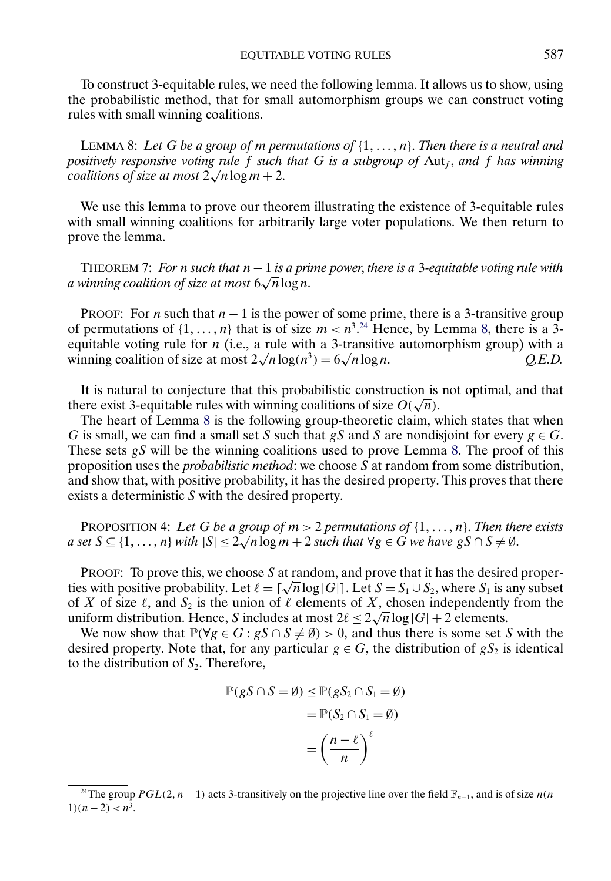<span id="page-24-0"></span>To construct 3-equitable rules, we need the following lemma. It allows us to show, using the probabilistic method, that for small automorphism groups we can construct voting rules with small winning coalitions.

LEMMA 8: Let G be a group of m permutations of  $\{1, \ldots, n\}$ . Then there is a neutral and *positively responsive voting rule* f *such that* G *is a subgroup of* Aut<sub>f</sub>, and f has winning *coalitions of size at most* 2 <sup>√</sup>nlog<sup>m</sup> <sup>+</sup> 2.

We use this lemma to prove our theorem illustrating the existence of 3-equitable rules with small winning coalitions for arbitrarily large voter populations. We then return to prove the lemma.

THEOREM 7: *For* n *such that* n − 1 *is a prime power*, *there is a* 3*-equitable voting rule with a winning coalition of size at most*  $6\sqrt{n} \log n$ .

PROOF: For *n* such that  $n - 1$  is the power of some prime, there is a 3-transitive group of permutations of  $\{1, \ldots, n\}$  that is of size  $m < n^{3.24}$  Hence, by Lemma 8, there is a 3equitable voting rule for *n* (i.e., a rule with a 3-transitive automorphism group) with a winning coalition of size at most  $2\sqrt{n}\log(n^3) = 6\sqrt{n}\log n$ . *Q.E.D.* equitable voting rule for *n* (i.e., a rule with a 3-<br>winning coalition of size at most  $2\sqrt{n}\log(n^3) = 6$ 

It is natural to conjecture that this probabilistic construction is not optimal, and that there exist 3-equitable rules with winning coalitions of size  $O(\sqrt{n})$ .

The heart of Lemma 8 is the following group-theoretic claim, which states that when G is small, we can find a small set S such that gS and S are nondisjoint for every  $g \in G$ . These sets gS will be the winning coalitions used to prove Lemma 8. The proof of this proposition uses the *probabilistic method*: we choose S at random from some distribution, and show that, with positive probability, it has the desired property. This proves that there exists a deterministic S with the desired property.

PROPOSITION 4: Let G be a group of  $m > 2$  permutations of  $\{1, \ldots, n\}$ . Then there exists *a set*  $S \subseteq \{1, ..., n\}$  *with*  $|S| \leq 2\sqrt{n} \log m + 2$  *such that*  $\forall g \in G$  *we have*  $gS \cap S \neq \emptyset$ *.* 

PROOF: To prove this, we choose  $S$  at random, and prove that it has the desired properties with positive probability. Let  $\ell = \lceil \sqrt{n} \log |G| \rceil$ . Let  $S = S_1 \cup S_2$ , where  $S_1$  is any subset of X of size  $\ell$ , and  $S_2$  is the union of  $\ell$  elements of X, chosen independently from the or A or size  $\ell$ , and  $S_2$  is the union or  $\ell$  elements or A, chosen independently uniform distribution. Hence, S includes at most  $2\ell \leq 2\sqrt{n}\log|G| + 2$  elements.

We now show that  $\mathbb{P}(\forall g \in G : gS \cap S \neq \emptyset) > 0$ , and thus there is some set S with the desired property. Note that, for any particular  $g \in G$ , the distribution of  $gS_2$  is identical to the distribution of  $S_2$ . Therefore,

$$
\mathbb{P}(gS \cap S = \emptyset) \leq \mathbb{P}(gS_2 \cap S_1 = \emptyset)
$$

$$
= \mathbb{P}(S_2 \cap S_1 = \emptyset)
$$

$$
= \left(\frac{n - \ell}{n}\right)^{\ell}
$$

<sup>&</sup>lt;sup>24</sup>The group  $PGL(2, n-1)$  acts 3-transitively on the projective line over the field  $\mathbb{F}_{n-1}$ , and is of size  $n(n-1)$  $1(n-2) < n^3$ .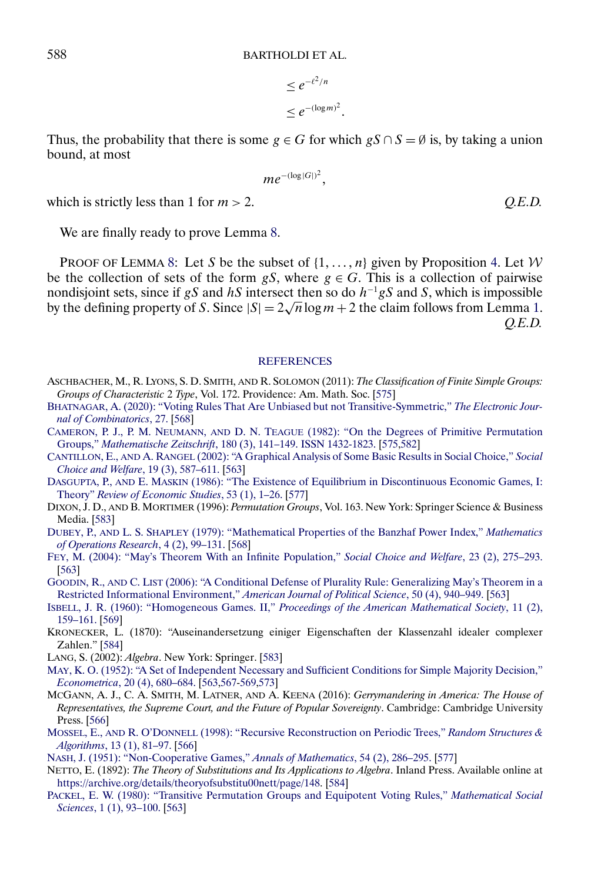$$
\leq e^{-\ell^2/n}
$$
  

$$
\leq e^{-(\log m)^2}
$$

.

Thus, the probability that there is some  $g \in G$  for which  $gS \cap S = \emptyset$  is, by taking a union bound, at most

$$
me^{-(\log|G|)^2},
$$

which is strictly less than 1 for  $m > 2$ .  $Q.E.D.$ 

We are finally ready to prove Lemma [8.](#page-24-0)

PROOF OF LEMMA [8:](#page-24-0) Let S be the subset of  $\{1, \ldots, n\}$  given by Proposition [4.](#page-24-0) Let W be the collection of sets of the form gS, where  $g \in G$ . This is a collection of pairwise nondisjoint sets, since if gS and hS intersect then so do  $h^{-1}gS$  and S, which is impossible nondisjoint sets, since if gs and *n*s intersect then so do *n*  $\cdot$ gs and s, which is impossible<br>by the defining property of S. Since  $|S| = 2\sqrt{n}\log m + 2$  the claim follows from Lemma [1.](#page-8-0) *Q.E.D.*

#### **[REFERENCES](http://www.e-publications.org/srv/ecta/linkserver/setprefs?rfe_id=urn:sici%2F0012-9682%282021%2989%3A2%3C563%3AEVR%3E2.0.CO%3B2-0)**

- ASCHBACHER, M., R. LYONS, S. D. SMITH, AND R. SOLOMON (2011): *The Classification of Finite Simple Groups: Groups of Characteristic* 2 *Type*, Vol. 172. Providence: Am. Math. Soc. [\[575\]](#page-12-0)
- [BHATNAGAR, A. \(2020\): "Voting Rules That Are Unbiased but not Transitive-Symmetric,"](http://www.e-publications.org/srv/ecta/linkserver/openurl?rft_dat=bib:2/bhatnagar2020voting&rfe_id=urn:sici%2F0012-9682%282021%2989%3A2%3C563%3AEVR%3E2.0.CO%3B2-0) *The Electronic Jour[nal of Combinatorics](http://www.e-publications.org/srv/ecta/linkserver/openurl?rft_dat=bib:2/bhatnagar2020voting&rfe_id=urn:sici%2F0012-9682%282021%2989%3A2%3C563%3AEVR%3E2.0.CO%3B2-0)*, 27. [\[568\]](#page-5-0)
- CAMERON, P. J., P. M. NEUMANN, AND D. N. TEAGUE [\(1982\): "On the Degrees of Primitive Permutation](http://www.e-publications.org/srv/ecta/linkserver/openurl?rft_dat=bib:3/cameron1982&rfe_id=urn:sici%2F0012-9682%282021%2989%3A2%3C563%3AEVR%3E2.0.CO%3B2-0) Groups," *Mathematische Zeitschrift*[, 180 \(3\), 141–149. ISSN 1432-1823.](http://www.e-publications.org/srv/ecta/linkserver/openurl?rft_dat=bib:3/cameron1982&rfe_id=urn:sici%2F0012-9682%282021%2989%3A2%3C563%3AEVR%3E2.0.CO%3B2-0) [\[575,](#page-12-0)[582\]](#page-19-0)
- CANTILLON, E., AND A. RANGEL [\(2002\): "A Graphical Analysis of Some Basic Results in Social Choice,"](http://www.e-publications.org/srv/ecta/linkserver/openurl?rft_dat=bib:4/cantillon2002&rfe_id=urn:sici%2F0012-9682%282021%2989%3A2%3C563%3AEVR%3E2.0.CO%3B2-0) *Social [Choice and Welfare](http://www.e-publications.org/srv/ecta/linkserver/openurl?rft_dat=bib:4/cantillon2002&rfe_id=urn:sici%2F0012-9682%282021%2989%3A2%3C563%3AEVR%3E2.0.CO%3B2-0)*, 19 (3), 587–611. [\[563\]](#page-0-0)
- DASGUPTA, P., AND E. MASKIN [\(1986\): "The Existence of Equilibrium in Discontinuous Economic Games, I:](http://www.e-publications.org/srv/ecta/linkserver/openurl?rft_dat=bib:5/dasgupta1986existence&rfe_id=urn:sici%2F0012-9682%282021%2989%3A2%3C563%3AEVR%3E2.0.CO%3B2-0) Theory" *[Review of Economic Studies](http://www.e-publications.org/srv/ecta/linkserver/openurl?rft_dat=bib:5/dasgupta1986existence&rfe_id=urn:sici%2F0012-9682%282021%2989%3A2%3C563%3AEVR%3E2.0.CO%3B2-0)*, 53 (1), 1–26. [\[577\]](#page-14-0)
- DIXON, J. D., AND B. MORTIMER (1996): *Permutation Groups*, Vol. 163. New York: Springer Science & Business Media. [\[583\]](#page-20-0)
- DUBEY, P., AND L. S. SHAPLEY [\(1979\): "Mathematical Properties of the Banzhaf Power Index,"](http://www.e-publications.org/srv/ecta/linkserver/openurl?rft_dat=bib:7/dubey1979mathematical&rfe_id=urn:sici%2F0012-9682%282021%2989%3A2%3C563%3AEVR%3E2.0.CO%3B2-0) *Mathematics [of Operations Research](http://www.e-publications.org/srv/ecta/linkserver/openurl?rft_dat=bib:7/dubey1979mathematical&rfe_id=urn:sici%2F0012-9682%282021%2989%3A2%3C563%3AEVR%3E2.0.CO%3B2-0)*, 4 (2), 99–131. [\[568\]](#page-5-0)
- [FEY, M. \(2004\): "May's Theorem With an Infinite Population,"](http://www.e-publications.org/srv/ecta/linkserver/openurl?rft_dat=bib:8/fey2004&rfe_id=urn:sici%2F0012-9682%282021%2989%3A2%3C563%3AEVR%3E2.0.CO%3B2-0) *Social Choice and Welfare*, 23 (2), 275–293. [\[563\]](#page-0-0)
- GOODIN, R., AND C. LIST [\(2006\): "A Conditional Defense of Plurality Rule: Generalizing May's Theorem in a](http://www.e-publications.org/srv/ecta/linkserver/openurl?rft_dat=bib:9/goodwin2006&rfe_id=urn:sici%2F0012-9682%282021%2989%3A2%3C563%3AEVR%3E2.0.CO%3B2-0) [Restricted Informational Environment,"](http://www.e-publications.org/srv/ecta/linkserver/openurl?rft_dat=bib:9/goodwin2006&rfe_id=urn:sici%2F0012-9682%282021%2989%3A2%3C563%3AEVR%3E2.0.CO%3B2-0) *American Journal of Political Science*, 50 (4), 940–949. [\[563\]](#page-0-0)
- [ISBELL, J. R. \(1960\): "Homogeneous Games. II,"](http://www.e-publications.org/srv/ecta/linkserver/openurl?rft_dat=bib:10/isbell1960homogeneous&rfe_id=urn:sici%2F0012-9682%282021%2989%3A2%3C563%3AEVR%3E2.0.CO%3B2-0) *Proceedings of the American Mathematical Society*, 11 (2), [159–161.](http://www.e-publications.org/srv/ecta/linkserver/openurl?rft_dat=bib:10/isbell1960homogeneous&rfe_id=urn:sici%2F0012-9682%282021%2989%3A2%3C563%3AEVR%3E2.0.CO%3B2-0) [\[569\]](#page-6-0)
- KRONECKER, L. (1870): "Auseinandersetzung einiger Eigenschaften der Klassenzahl idealer complexer Zahlen." [\[584\]](#page-21-0)
- LANG, S. (2002): *Algebra*. New York: Springer. [\[583\]](#page-20-0)
- [MAY, K. O. \(1952\): "A Set of Independent Necessary and Sufficient Conditions for Simple Majority Decision,"](http://www.e-publications.org/srv/ecta/linkserver/openurl?rft_dat=bib:13/may1952set&rfe_id=urn:sici%2F0012-9682%282021%2989%3A2%3C563%3AEVR%3E2.0.CO%3B2-0) *Econometrica*[, 20 \(4\), 680–684.](http://www.e-publications.org/srv/ecta/linkserver/openurl?rft_dat=bib:13/may1952set&rfe_id=urn:sici%2F0012-9682%282021%2989%3A2%3C563%3AEVR%3E2.0.CO%3B2-0) [\[563,](#page-0-0)[567](#page-4-0)[-569,](#page-6-0)[573\]](#page-10-0)
- MCGANN, A. J., C. A. SMITH, M. LATNER, AND A. KEENA (2016): *Gerrymandering in America: The House of Representatives, the Supreme Court, and the Future of Popular Sovereignty*. Cambridge: Cambridge University Press. [\[566\]](#page-3-0)
- MOSSEL, E., AND R. O'DONNELL [\(1998\): "Recursive Reconstruction on Periodic Trees,"](http://www.e-publications.org/srv/ecta/linkserver/openurl?rft_dat=bib:15/mossel1998recursive&rfe_id=urn:sici%2F0012-9682%282021%2989%3A2%3C563%3AEVR%3E2.0.CO%3B2-0) *Random Structures & Algorithms*[, 13 \(1\), 81–97.](http://www.e-publications.org/srv/ecta/linkserver/openurl?rft_dat=bib:15/mossel1998recursive&rfe_id=urn:sici%2F0012-9682%282021%2989%3A2%3C563%3AEVR%3E2.0.CO%3B2-0) [\[566\]](#page-3-0)
- [NASH, J. \(1951\): "Non-Cooperative Games,"](http://www.e-publications.org/srv/ecta/linkserver/openurl?rft_dat=bib:16/nash1951non&rfe_id=urn:sici%2F0012-9682%282021%2989%3A2%3C563%3AEVR%3E2.0.CO%3B2-0) *Annals of Mathematics*, 54 (2), 286–295. [\[577\]](#page-14-0)
- NETTO, E. (1892): *The Theory of Substitutions and Its Applications to Algebra*. Inland Press. Available online at [https://archive.org/details/theoryofsubstitu00nett/page/148.](https://archive.org/details/theoryofsubstitu00nett/page/148) [\[584\]](#page-21-0)
- [PACKEL, E. W. \(1980\): "Transitive Permutation Groups and Equipotent Voting Rules,"](http://www.e-publications.org/srv/ecta/linkserver/openurl?rft_dat=bib:18/packel1980transitive&rfe_id=urn:sici%2F0012-9682%282021%2989%3A2%3C563%3AEVR%3E2.0.CO%3B2-0) *Mathematical Social Sciences*[, 1 \(1\), 93–100.](http://www.e-publications.org/srv/ecta/linkserver/openurl?rft_dat=bib:18/packel1980transitive&rfe_id=urn:sici%2F0012-9682%282021%2989%3A2%3C563%3AEVR%3E2.0.CO%3B2-0) [\[563\]](#page-0-0)

<span id="page-25-0"></span>